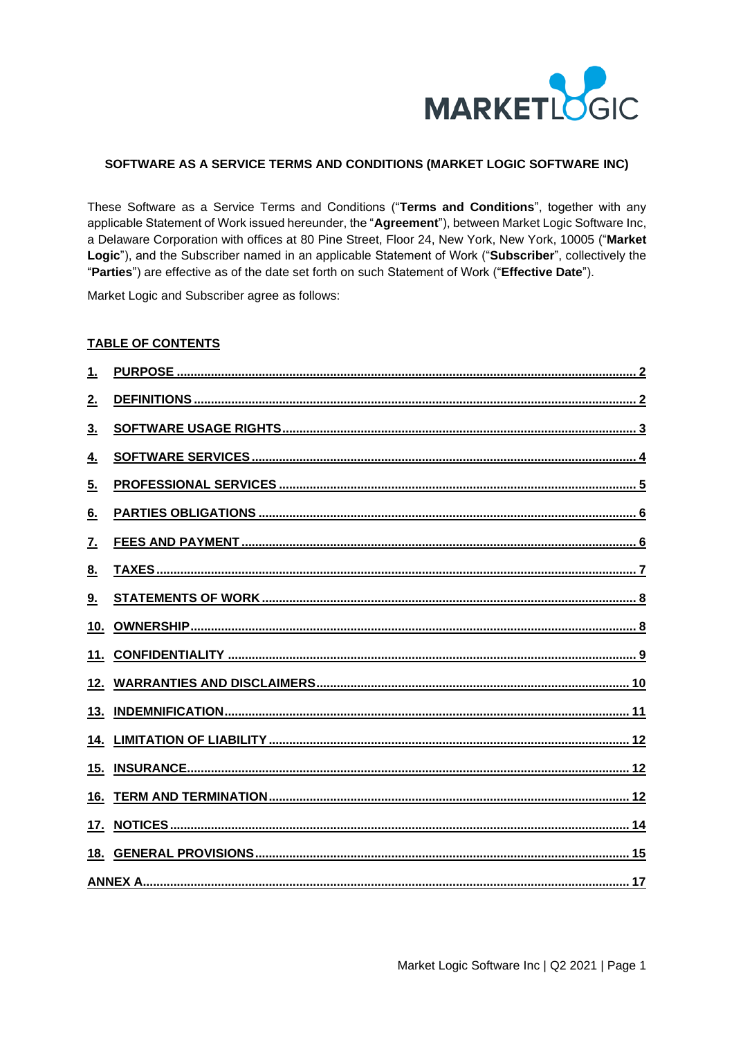

### SOFTWARE AS A SERVICE TERMS AND CONDITIONS (MARKET LOGIC SOFTWARE INC)

These Software as a Service Terms and Conditions ("Terms and Conditions", together with any applicable Statement of Work issued hereunder, the "Agreement"), between Market Logic Software Inc, a Delaware Corporation with offices at 80 Pine Street, Floor 24, New York, New York, 10005 ("Market Logic"), and the Subscriber named in an applicable Statement of Work ("Subscriber", collectively the "Parties") are effective as of the date set forth on such Statement of Work ("Effective Date").

Market Logic and Subscriber agree as follows:

#### **TABLE OF CONTENTS**

| 1.  |  |
|-----|--|
| 2.  |  |
| 3.  |  |
| 4.  |  |
| 5.  |  |
| 6.  |  |
| 7.  |  |
| 8.  |  |
| 9.  |  |
| 10. |  |
|     |  |
|     |  |
|     |  |
|     |  |
| 15. |  |
| 16. |  |
| 17. |  |
| 18. |  |
|     |  |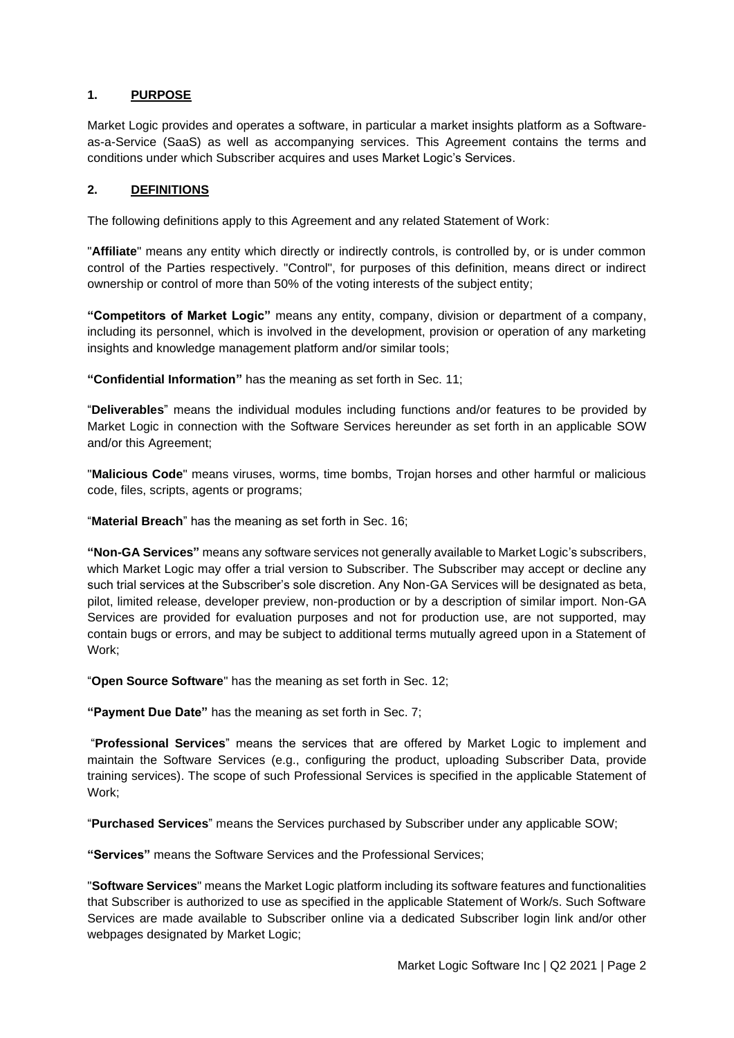#### <span id="page-1-0"></span>**1. PURPOSE**

Market Logic provides and operates a software, in particular a market insights platform as a Softwareas-a-Service (SaaS) as well as accompanying services. This Agreement contains the terms and conditions under which Subscriber acquires and uses Market Logic's Services.

#### <span id="page-1-1"></span>**2. DEFINITIONS**

The following definitions apply to this Agreement and any related Statement of Work:

"**Affiliate**" means any entity which directly or indirectly controls, is controlled by, or is under common control of the Parties respectively. "Control", for purposes of this definition, means direct or indirect ownership or control of more than 50% of the voting interests of the subject entity;

**"Competitors of Market Logic"** means any entity, company, division or department of a company, including its personnel, which is involved in the development, provision or operation of any marketing insights and knowledge management platform and/or similar tools;

**"Confidential Information"** has the meaning as set forth in Sec. 11;

"**Deliverables**" means the individual modules including functions and/or features to be provided by Market Logic in connection with the Software Services hereunder as set forth in an applicable SOW and/or this Agreement;

"**Malicious Code**" means viruses, worms, time bombs, Trojan horses and other harmful or malicious code, files, scripts, agents or programs;

"**Material Breach**" has the meaning as set forth in Sec. 16;

**"Non-GA Services"** means any software services not generally available to Market Logic's subscribers, which Market Logic may offer a trial version to Subscriber. The Subscriber may accept or decline any such trial services at the Subscriber's sole discretion. Any Non-GA Services will be designated as beta, pilot, limited release, developer preview, non-production or by a description of similar import. Non-GA Services are provided for evaluation purposes and not for production use, are not supported, may contain bugs or errors, and may be subject to additional terms mutually agreed upon in a Statement of Work;

"**Open Source Software**" has the meaning as set forth in Sec. 12;

**"Payment Due Date"** has the meaning as set forth in Sec. 7;

"**Professional Services**" means the services that are offered by Market Logic to implement and maintain the Software Services (e.g., configuring the product, uploading Subscriber Data, provide training services). The scope of such Professional Services is specified in the applicable Statement of Work;

"**Purchased Services**" means the Services purchased by Subscriber under any applicable SOW;

**"Services"** means the Software Services and the Professional Services;

"**Software Services**" means the Market Logic platform including its software features and functionalities that Subscriber is authorized to use as specified in the applicable Statement of Work/s. Such Software Services are made available to Subscriber online via a dedicated Subscriber login link and/or other webpages designated by Market Logic;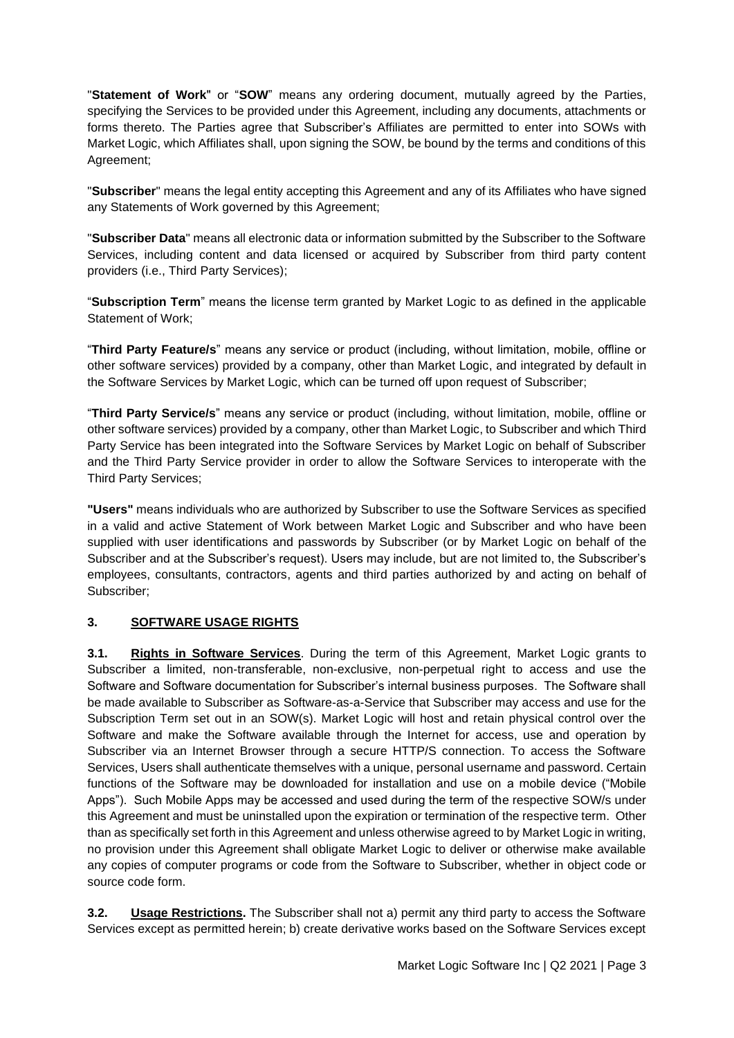"**Statement of Work**" or "**SOW**" means any ordering document, mutually agreed by the Parties, specifying the Services to be provided under this Agreement, including any documents, attachments or forms thereto. The Parties agree that Subscriber's Affiliates are permitted to enter into SOWs with Market Logic, which Affiliates shall, upon signing the SOW, be bound by the terms and conditions of this Agreement;

"**Subscriber**" means the legal entity accepting this Agreement and any of its Affiliates who have signed any Statements of Work governed by this Agreement;

"**Subscriber Data**" means all electronic data or information submitted by the Subscriber to the Software Services, including content and data licensed or acquired by Subscriber from third party content providers (i.e., Third Party Services);

"**Subscription Term**" means the license term granted by Market Logic to as defined in the applicable Statement of Work;

"**Third Party Feature/s**" means any service or product (including, without limitation, mobile, offline or other software services) provided by a company, other than Market Logic, and integrated by default in the Software Services by Market Logic, which can be turned off upon request of Subscriber;

"**Third Party Service/s**" means any service or product (including, without limitation, mobile, offline or other software services) provided by a company, other than Market Logic, to Subscriber and which Third Party Service has been integrated into the Software Services by Market Logic on behalf of Subscriber and the Third Party Service provider in order to allow the Software Services to interoperate with the Third Party Services;

**"Users"** means individuals who are authorized by Subscriber to use the Software Services as specified in a valid and active Statement of Work between Market Logic and Subscriber and who have been supplied with user identifications and passwords by Subscriber (or by Market Logic on behalf of the Subscriber and at the Subscriber's request). Users may include, but are not limited to, the Subscriber's employees, consultants, contractors, agents and third parties authorized by and acting on behalf of Subscriber;

### <span id="page-2-0"></span>**3. SOFTWARE USAGE RIGHTS**

**3.1. Rights in Software Services**. During the term of this Agreement, Market Logic grants to Subscriber a limited, non-transferable, non-exclusive, non-perpetual right to access and use the Software and Software documentation for Subscriber's internal business purposes. The Software shall be made available to Subscriber as Software-as-a-Service that Subscriber may access and use for the Subscription Term set out in an SOW(s). Market Logic will host and retain physical control over the Software and make the Software available through the Internet for access, use and operation by Subscriber via an Internet Browser through a secure HTTP/S connection. To access the Software Services, Users shall authenticate themselves with a unique, personal username and password. Certain functions of the Software may be downloaded for installation and use on a mobile device ("Mobile Apps"). Such Mobile Apps may be accessed and used during the term of the respective SOW/s under this Agreement and must be uninstalled upon the expiration or termination of the respective term. Other than as specifically set forth in this Agreement and unless otherwise agreed to by Market Logic in writing, no provision under this Agreement shall obligate Market Logic to deliver or otherwise make available any copies of computer programs or code from the Software to Subscriber, whether in object code or source code form.

**3.2. Usage Restrictions.** The Subscriber shall not a) permit any third party to access the Software Services except as permitted herein; b) create derivative works based on the Software Services except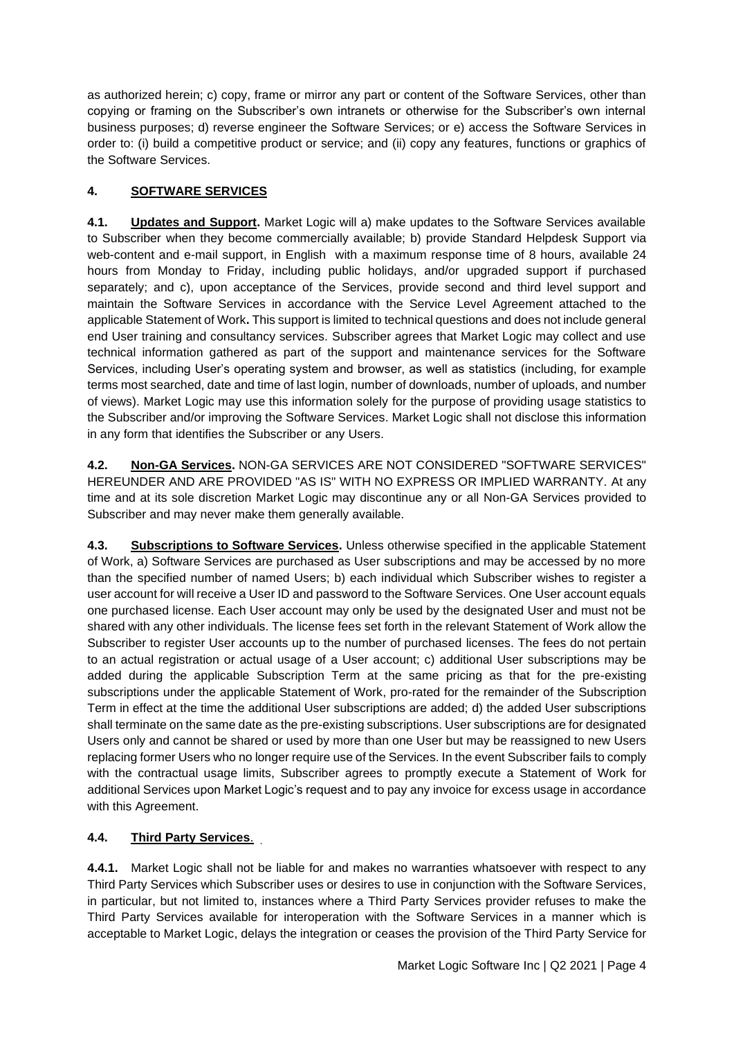as authorized herein; c) copy, frame or mirror any part or content of the Software Services, other than copying or framing on the Subscriber's own intranets or otherwise for the Subscriber's own internal business purposes; d) reverse engineer the Software Services; or e) access the Software Services in order to: (i) build a competitive product or service; and (ii) copy any features, functions or graphics of the Software Services.

## <span id="page-3-0"></span>**4. SOFTWARE SERVICES**

**4.1. Updates and Support.** Market Logic will a) make updates to the Software Services available to Subscriber when they become commercially available; b) provide Standard Helpdesk Support via web-content and e-mail support, in English with a maximum response time of 8 hours, available 24 hours from Monday to Friday, including public holidays, and/or upgraded support if purchased separately; and c), upon acceptance of the Services, provide second and third level support and maintain the Software Services in accordance with the Service Level Agreement attached to the applicable Statement of Work**.** This support is limited to technical questions and does not include general end User training and consultancy services. Subscriber agrees that Market Logic may collect and use technical information gathered as part of the support and maintenance services for the Software Services, including User's operating system and browser, as well as statistics (including, for example terms most searched, date and time of last login, number of downloads, number of uploads, and number of views). Market Logic may use this information solely for the purpose of providing usage statistics to the Subscriber and/or improving the Software Services. Market Logic shall not disclose this information in any form that identifies the Subscriber or any Users.

**4.2. Non-GA Services.** NON-GA SERVICES ARE NOT CONSIDERED "SOFTWARE SERVICES" HEREUNDER AND ARE PROVIDED "AS IS" WITH NO EXPRESS OR IMPLIED WARRANTY. At any time and at its sole discretion Market Logic may discontinue any or all Non-GA Services provided to Subscriber and may never make them generally available.

**4.3. Subscriptions to Software Services.** Unless otherwise specified in the applicable Statement of Work, a) Software Services are purchased as User subscriptions and may be accessed by no more than the specified number of named Users; b) each individual which Subscriber wishes to register a user account for will receive a User ID and password to the Software Services. One User account equals one purchased license. Each User account may only be used by the designated User and must not be shared with any other individuals. The license fees set forth in the relevant Statement of Work allow the Subscriber to register User accounts up to the number of purchased licenses. The fees do not pertain to an actual registration or actual usage of a User account; c) additional User subscriptions may be added during the applicable Subscription Term at the same pricing as that for the pre-existing subscriptions under the applicable Statement of Work, pro-rated for the remainder of the Subscription Term in effect at the time the additional User subscriptions are added; d) the added User subscriptions shall terminate on the same date as the pre-existing subscriptions. User subscriptions are for designated Users only and cannot be shared or used by more than one User but may be reassigned to new Users replacing former Users who no longer require use of the Services. In the event Subscriber fails to comply with the contractual usage limits, Subscriber agrees to promptly execute a Statement of Work for additional Services upon Market Logic's request and to pay any invoice for excess usage in accordance with this Agreement.

# **4.4. Third Party Services**.

**4.4.1.** Market Logic shall not be liable for and makes no warranties whatsoever with respect to any Third Party Services which Subscriber uses or desires to use in conjunction with the Software Services, in particular, but not limited to, instances where a Third Party Services provider refuses to make the Third Party Services available for interoperation with the Software Services in a manner which is acceptable to Market Logic, delays the integration or ceases the provision of the Third Party Service for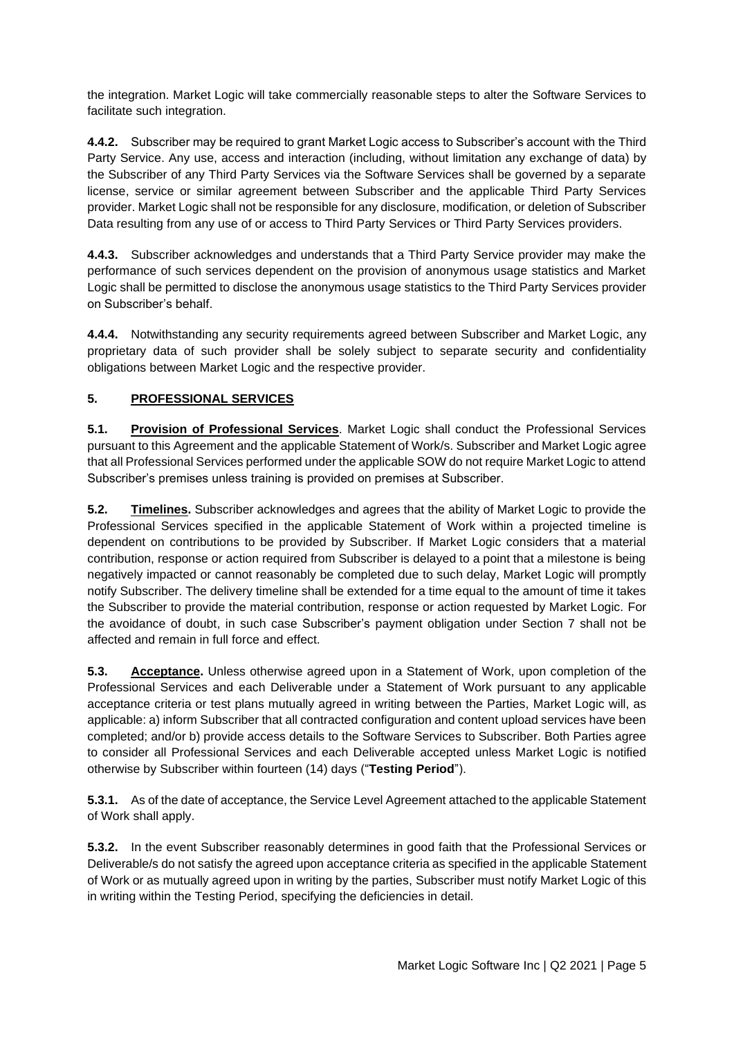the integration. Market Logic will take commercially reasonable steps to alter the Software Services to facilitate such integration.

**4.4.2.** Subscriber may be required to grant Market Logic access to Subscriber's account with the Third Party Service. Any use, access and interaction (including, without limitation any exchange of data) by the Subscriber of any Third Party Services via the Software Services shall be governed by a separate license, service or similar agreement between Subscriber and the applicable Third Party Services provider. Market Logic shall not be responsible for any disclosure, modification, or deletion of Subscriber Data resulting from any use of or access to Third Party Services or Third Party Services providers.

**4.4.3.** Subscriber acknowledges and understands that a Third Party Service provider may make the performance of such services dependent on the provision of anonymous usage statistics and Market Logic shall be permitted to disclose the anonymous usage statistics to the Third Party Services provider on Subscriber's behalf.

**4.4.4.** Notwithstanding any security requirements agreed between Subscriber and Market Logic, any proprietary data of such provider shall be solely subject to separate security and confidentiality obligations between Market Logic and the respective provider.

## <span id="page-4-0"></span>**5. PROFESSIONAL SERVICES**

**5.1. Provision of Professional Services**. Market Logic shall conduct the Professional Services pursuant to this Agreement and the applicable Statement of Work/s. Subscriber and Market Logic agree that all Professional Services performed under the applicable SOW do not require Market Logic to attend Subscriber's premises unless training is provided on premises at Subscriber.

**5.2. Timelines.** Subscriber acknowledges and agrees that the ability of Market Logic to provide the Professional Services specified in the applicable Statement of Work within a projected timeline is dependent on contributions to be provided by Subscriber. If Market Logic considers that a material contribution, response or action required from Subscriber is delayed to a point that a milestone is being negatively impacted or cannot reasonably be completed due to such delay, Market Logic will promptly notify Subscriber. The delivery timeline shall be extended for a time equal to the amount of time it takes the Subscriber to provide the material contribution, response or action requested by Market Logic. For the avoidance of doubt, in such case Subscriber's payment obligation under Section 7 shall not be affected and remain in full force and effect.

**5.3. Acceptance.** Unless otherwise agreed upon in a Statement of Work, upon completion of the Professional Services and each Deliverable under a Statement of Work pursuant to any applicable acceptance criteria or test plans mutually agreed in writing between the Parties, Market Logic will, as applicable: a) inform Subscriber that all contracted configuration and content upload services have been completed; and/or b) provide access details to the Software Services to Subscriber. Both Parties agree to consider all Professional Services and each Deliverable accepted unless Market Logic is notified otherwise by Subscriber within fourteen (14) days ("**Testing Period**").

**5.3.1.** As of the date of acceptance, the Service Level Agreement attached to the applicable Statement of Work shall apply.

**5.3.2.** In the event Subscriber reasonably determines in good faith that the Professional Services or Deliverable/s do not satisfy the agreed upon acceptance criteria as specified in the applicable Statement of Work or as mutually agreed upon in writing by the parties, Subscriber must notify Market Logic of this in writing within the Testing Period, specifying the deficiencies in detail.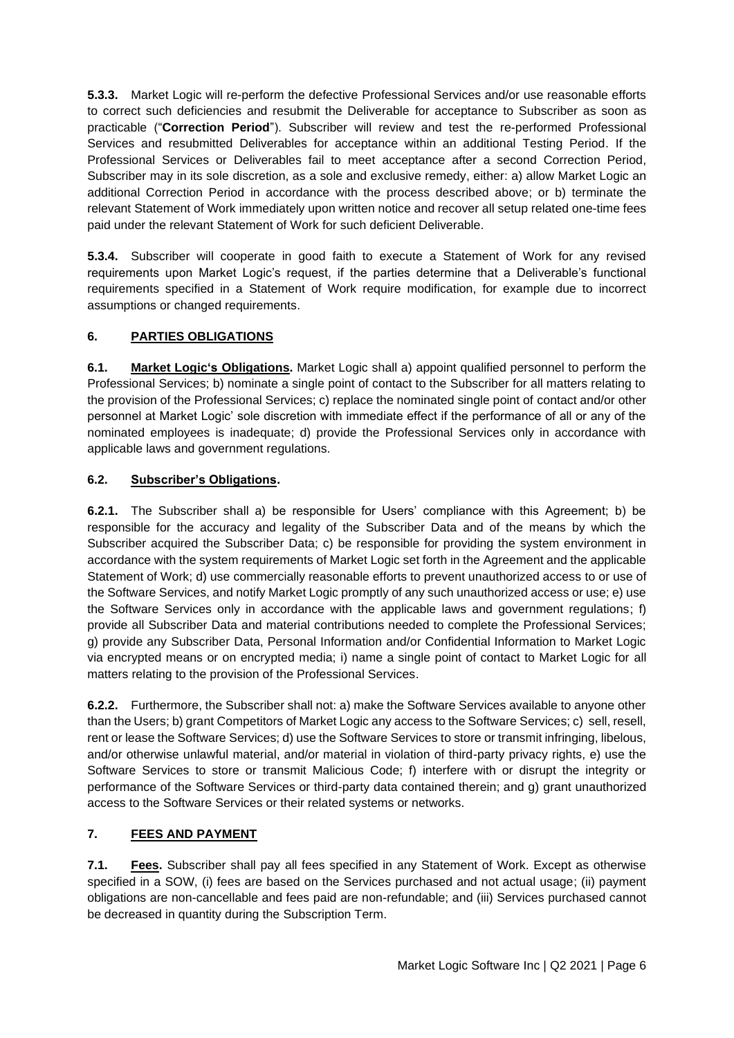**5.3.3.** Market Logic will re-perform the defective Professional Services and/or use reasonable efforts to correct such deficiencies and resubmit the Deliverable for acceptance to Subscriber as soon as practicable ("**Correction Period**"). Subscriber will review and test the re-performed Professional Services and resubmitted Deliverables for acceptance within an additional Testing Period. If the Professional Services or Deliverables fail to meet acceptance after a second Correction Period, Subscriber may in its sole discretion, as a sole and exclusive remedy, either: a) allow Market Logic an additional Correction Period in accordance with the process described above; or b) terminate the relevant Statement of Work immediately upon written notice and recover all setup related one-time fees paid under the relevant Statement of Work for such deficient Deliverable.

**5.3.4.** Subscriber will cooperate in good faith to execute a Statement of Work for any revised requirements upon Market Logic's request, if the parties determine that a Deliverable's functional requirements specified in a Statement of Work require modification, for example due to incorrect assumptions or changed requirements.

# <span id="page-5-0"></span>**6. PARTIES OBLIGATIONS**

**6.1. Market Logic's Obligations.** Market Logic shall a) appoint qualified personnel to perform the Professional Services; b) nominate a single point of contact to the Subscriber for all matters relating to the provision of the Professional Services; c) replace the nominated single point of contact and/or other personnel at Market Logic' sole discretion with immediate effect if the performance of all or any of the nominated employees is inadequate; d) provide the Professional Services only in accordance with applicable laws and government regulations.

### **6.2. Subscriber's Obligations.**

**6.2.1.** The Subscriber shall a) be responsible for Users' compliance with this Agreement; b) be responsible for the accuracy and legality of the Subscriber Data and of the means by which the Subscriber acquired the Subscriber Data; c) be responsible for providing the system environment in accordance with the system requirements of Market Logic set forth in the Agreement and the applicable Statement of Work; d) use commercially reasonable efforts to prevent unauthorized access to or use of the Software Services, and notify Market Logic promptly of any such unauthorized access or use; e) use the Software Services only in accordance with the applicable laws and government regulations; f) provide all Subscriber Data and material contributions needed to complete the Professional Services; g) provide any Subscriber Data, Personal Information and/or Confidential Information to Market Logic via encrypted means or on encrypted media; i) name a single point of contact to Market Logic for all matters relating to the provision of the Professional Services.

**6.2.2.** Furthermore, the Subscriber shall not: a) make the Software Services available to anyone other than the Users; b) grant Competitors of Market Logic any access to the Software Services; c) sell, resell, rent or lease the Software Services; d) use the Software Services to store or transmit infringing, libelous, and/or otherwise unlawful material, and/or material in violation of third-party privacy rights, e) use the Software Services to store or transmit Malicious Code; f) interfere with or disrupt the integrity or performance of the Software Services or third-party data contained therein; and g) grant unauthorized access to the Software Services or their related systems or networks.

# <span id="page-5-1"></span>**7. FEES AND PAYMENT**

<span id="page-5-2"></span>**7.1. Fees.** Subscriber shall pay all fees specified in any Statement of Work. Except as otherwise specified in a SOW, (i) fees are based on the Services purchased and not actual usage; (ii) payment obligations are non-cancellable and fees paid are non-refundable; and (iii) Services purchased cannot be decreased in quantity during the Subscription Term.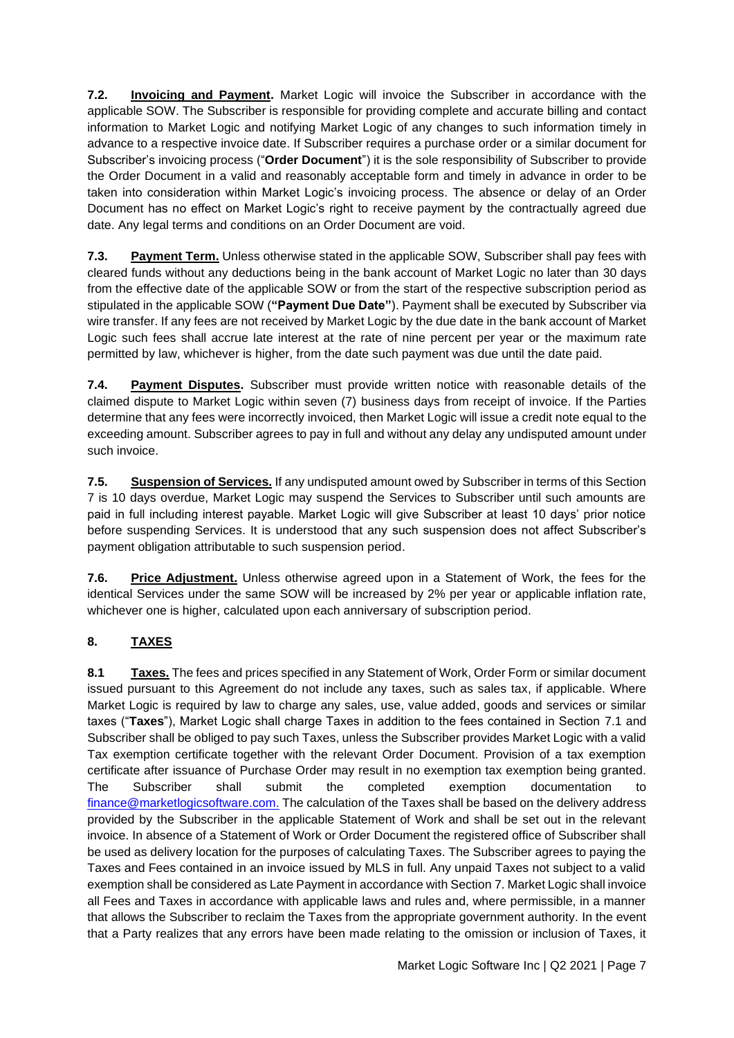**7.2. Invoicing and Payment.** Market Logic will invoice the Subscriber in accordance with the applicable SOW. The Subscriber is responsible for providing complete and accurate billing and contact information to Market Logic and notifying Market Logic of any changes to such information timely in advance to a respective invoice date. If Subscriber requires a purchase order or a similar document for Subscriber's invoicing process ("**Order Document**") it is the sole responsibility of Subscriber to provide the Order Document in a valid and reasonably acceptable form and timely in advance in order to be taken into consideration within Market Logic's invoicing process. The absence or delay of an Order Document has no effect on Market Logic's right to receive payment by the contractually agreed due date. Any legal terms and conditions on an Order Document are void.

**7.3. Payment Term.** Unless otherwise stated in the applicable SOW, Subscriber shall pay fees with cleared funds without any deductions being in the bank account of Market Logic no later than 30 days from the effective date of the applicable SOW or from the start of the respective subscription period as stipulated in the applicable SOW (**"Payment Due Date"**). Payment shall be executed by Subscriber via wire transfer. If any fees are not received by Market Logic by the due date in the bank account of Market Logic such fees shall accrue late interest at the rate of nine percent per year or the maximum rate permitted by law, whichever is higher, from the date such payment was due until the date paid.

**7.4. Payment Disputes.** Subscriber must provide written notice with reasonable details of the claimed dispute to Market Logic within seven (7) business days from receipt of invoice. If the Parties determine that any fees were incorrectly invoiced, then Market Logic will issue a credit note equal to the exceeding amount. Subscriber agrees to pay in full and without any delay any undisputed amount under such invoice.

**7.5. Suspension of Services.** If any undisputed amount owed by Subscriber in terms of this Section 7 is 10 days overdue, Market Logic may suspend the Services to Subscriber until such amounts are paid in full including interest payable. Market Logic will give Subscriber at least 10 days' prior notice before suspending Services. It is understood that any such suspension does not affect Subscriber's payment obligation attributable to such suspension period.

**7.6. Price Adjustment.** Unless otherwise agreed upon in a Statement of Work, the fees for the identical Services under the same SOW will be increased by 2% per year or applicable inflation rate, whichever one is higher, calculated upon each anniversary of subscription period.

# <span id="page-6-0"></span>**8. TAXES**

**8.1 Taxes.** The fees and prices specified in any Statement of Work, Order Form or similar document issued pursuant to this Agreement do not include any taxes, such as sales tax, if applicable. Where Market Logic is required by law to charge any sales, use, value added, goods and services or similar taxes ("**Taxes**"), Market Logic shall charge Taxes in addition to the fees contained in Section [7.1](#page-5-2) and Subscriber shall be obliged to pay such Taxes, unless the Subscriber provides Market Logic with a valid Tax exemption certificate together with the relevant Order Document. Provision of a tax exemption certificate after issuance of Purchase Order may result in no exemption tax exemption being granted. The Subscriber shall submit the completed exemption documentation [finance@marketlogicsoftware.com.](mailto:finance@marketlogicsoftware.com) The calculation of the Taxes shall be based on the delivery address provided by the Subscriber in the applicable Statement of Work and shall be set out in the relevant invoice. In absence of a Statement of Work or Order Document the registered office of Subscriber shall be used as delivery location for the purposes of calculating Taxes. The Subscriber agrees to paying the Taxes and Fees contained in an invoice issued by MLS in full. Any unpaid Taxes not subject to a valid exemption shall be considered as Late Payment in accordance with Section 7. Market Logic shall invoice all Fees and Taxes in accordance with applicable laws and rules and, where permissible, in a manner that allows the Subscriber to reclaim the Taxes from the appropriate government authority. In the event that a Party realizes that any errors have been made relating to the omission or inclusion of Taxes, it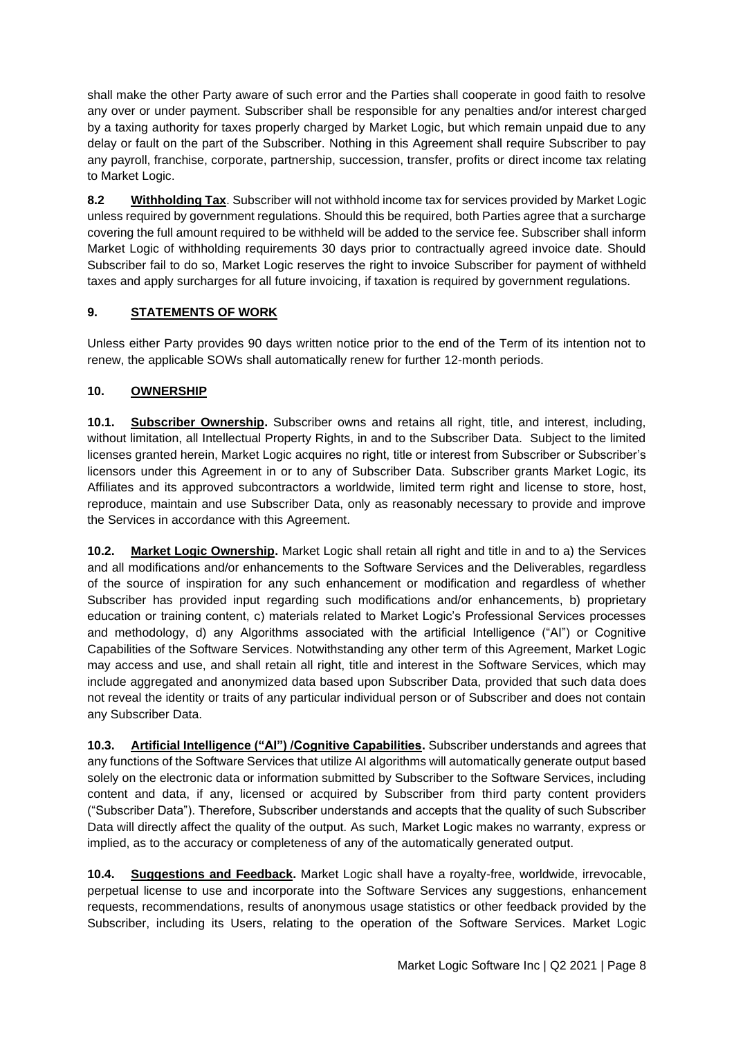shall make the other Party aware of such error and the Parties shall cooperate in good faith to resolve any over or under payment. Subscriber shall be responsible for any penalties and/or interest charged by a taxing authority for taxes properly charged by Market Logic, but which remain unpaid due to any delay or fault on the part of the Subscriber. Nothing in this Agreement shall require Subscriber to pay any payroll, franchise, corporate, partnership, succession, transfer, profits or direct income tax relating to Market Logic.

**8.2 Withholding Tax**. Subscriber will not withhold income tax for services provided by Market Logic unless required by government regulations. Should this be required, both Parties agree that a surcharge covering the full amount required to be withheld will be added to the service fee. Subscriber shall inform Market Logic of withholding requirements 30 days prior to contractually agreed invoice date. Should Subscriber fail to do so, Market Logic reserves the right to invoice Subscriber for payment of withheld taxes and apply surcharges for all future invoicing, if taxation is required by government regulations.

# <span id="page-7-0"></span>**9. STATEMENTS OF WORK**

Unless either Party provides 90 days written notice prior to the end of the Term of its intention not to renew, the applicable SOWs shall automatically renew for further 12-month periods.

## <span id="page-7-1"></span>**10. OWNERSHIP**

**10.1. Subscriber Ownership.** Subscriber owns and retains all right, title, and interest, including, without limitation, all Intellectual Property Rights, in and to the Subscriber Data. Subject to the limited licenses granted herein, Market Logic acquires no right, title or interest from Subscriber or Subscriber's licensors under this Agreement in or to any of Subscriber Data. Subscriber grants Market Logic, its Affiliates and its approved subcontractors a worldwide, limited term right and license to store, host, reproduce, maintain and use Subscriber Data, only as reasonably necessary to provide and improve the Services in accordance with this Agreement.

**10.2. Market Logic Ownership.** Market Logic shall retain all right and title in and to a) the Services and all modifications and/or enhancements to the Software Services and the Deliverables, regardless of the source of inspiration for any such enhancement or modification and regardless of whether Subscriber has provided input regarding such modifications and/or enhancements, b) proprietary education or training content, c) materials related to Market Logic's Professional Services processes and methodology, d) any Algorithms associated with the artificial Intelligence ("AI") or Cognitive Capabilities of the Software Services. Notwithstanding any other term of this Agreement, Market Logic may access and use, and shall retain all right, title and interest in the Software Services, which may include aggregated and anonymized data based upon Subscriber Data, provided that such data does not reveal the identity or traits of any particular individual person or of Subscriber and does not contain any Subscriber Data.

**10.3. Artificial Intelligence ("AI") /Cognitive Capabilities.** Subscriber understands and agrees that any functions of the Software Services that utilize AI algorithms will automatically generate output based solely on the electronic data or information submitted by Subscriber to the Software Services, including content and data, if any, licensed or acquired by Subscriber from third party content providers ("Subscriber Data"). Therefore, Subscriber understands and accepts that the quality of such Subscriber Data will directly affect the quality of the output. As such, Market Logic makes no warranty, express or implied, as to the accuracy or completeness of any of the automatically generated output.

**10.4. Suggestions and Feedback.** Market Logic shall have a royalty-free, worldwide, irrevocable, perpetual license to use and incorporate into the Software Services any suggestions, enhancement requests, recommendations, results of anonymous usage statistics or other feedback provided by the Subscriber, including its Users, relating to the operation of the Software Services. Market Logic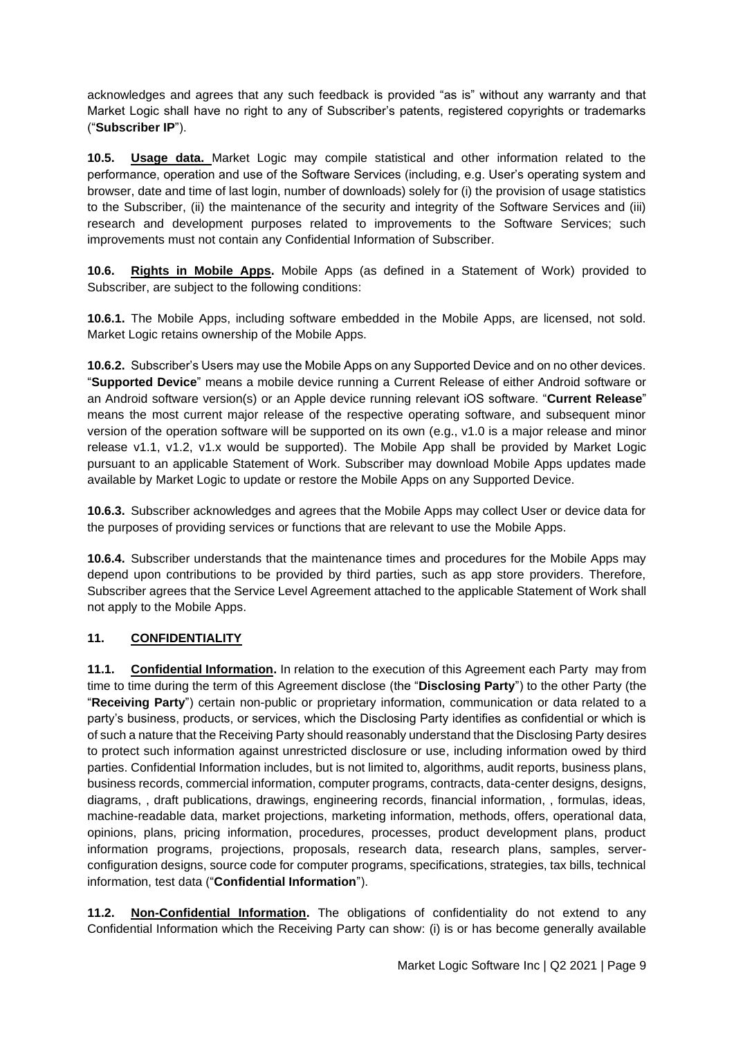acknowledges and agrees that any such feedback is provided "as is" without any warranty and that Market Logic shall have no right to any of Subscriber's patents, registered copyrights or trademarks ("**Subscriber IP**").

**10.5. Usage data.** Market Logic may compile statistical and other information related to the performance, operation and use of the Software Services (including, e.g. User's operating system and browser, date and time of last login, number of downloads) solely for (i) the provision of usage statistics to the Subscriber, (ii) the maintenance of the security and integrity of the Software Services and (iii) research and development purposes related to improvements to the Software Services; such improvements must not contain any Confidential Information of Subscriber.

**10.6. Rights in Mobile Apps.** Mobile Apps (as defined in a Statement of Work) provided to Subscriber, are subject to the following conditions:

**10.6.1.** The Mobile Apps, including software embedded in the Mobile Apps, are licensed, not sold. Market Logic retains ownership of the Mobile Apps.

**10.6.2.** Subscriber's Users may use the Mobile Apps on any Supported Device and on no other devices. "**Supported Device**" means a mobile device running a Current Release of either Android software or an Android software version(s) or an Apple device running relevant iOS software. "**Current Release**" means the most current major release of the respective operating software, and subsequent minor version of the operation software will be supported on its own (e.g., v1.0 is a major release and minor release v1.1, v1.2, v1.x would be supported). The Mobile App shall be provided by Market Logic pursuant to an applicable Statement of Work. Subscriber may download Mobile Apps updates made available by Market Logic to update or restore the Mobile Apps on any Supported Device.

**10.6.3.** Subscriber acknowledges and agrees that the Mobile Apps may collect User or device data for the purposes of providing services or functions that are relevant to use the Mobile Apps.

**10.6.4.** Subscriber understands that the maintenance times and procedures for the Mobile Apps may depend upon contributions to be provided by third parties, such as app store providers. Therefore, Subscriber agrees that the Service Level Agreement attached to the applicable Statement of Work shall not apply to the Mobile Apps.

### <span id="page-8-0"></span>**11. CONFIDENTIALITY**

**11.1. Confidential Information.** In relation to the execution of this Agreement each Party may from time to time during the term of this Agreement disclose (the "**Disclosing Party**") to the other Party (the "**Receiving Party**") certain non-public or proprietary information, communication or data related to a party's business, products, or services, which the Disclosing Party identifies as confidential or which is of such a nature that the Receiving Party should reasonably understand that the Disclosing Party desires to protect such information against unrestricted disclosure or use, including information owed by third parties. Confidential Information includes, but is not limited to, algorithms, audit reports, business plans, business records, commercial information, computer programs, contracts, data-center designs, designs, diagrams, , draft publications, drawings, engineering records, financial information, , formulas, ideas, machine-readable data, market projections, marketing information, methods, offers, operational data, opinions, plans, pricing information, procedures, processes, product development plans, product information programs, projections, proposals, research data, research plans, samples, serverconfiguration designs, source code for computer programs, specifications, strategies, tax bills, technical information, test data ("**Confidential Information**").

**11.2. Non-Confidential Information.** The obligations of confidentiality do not extend to any Confidential Information which the Receiving Party can show: (i) is or has become generally available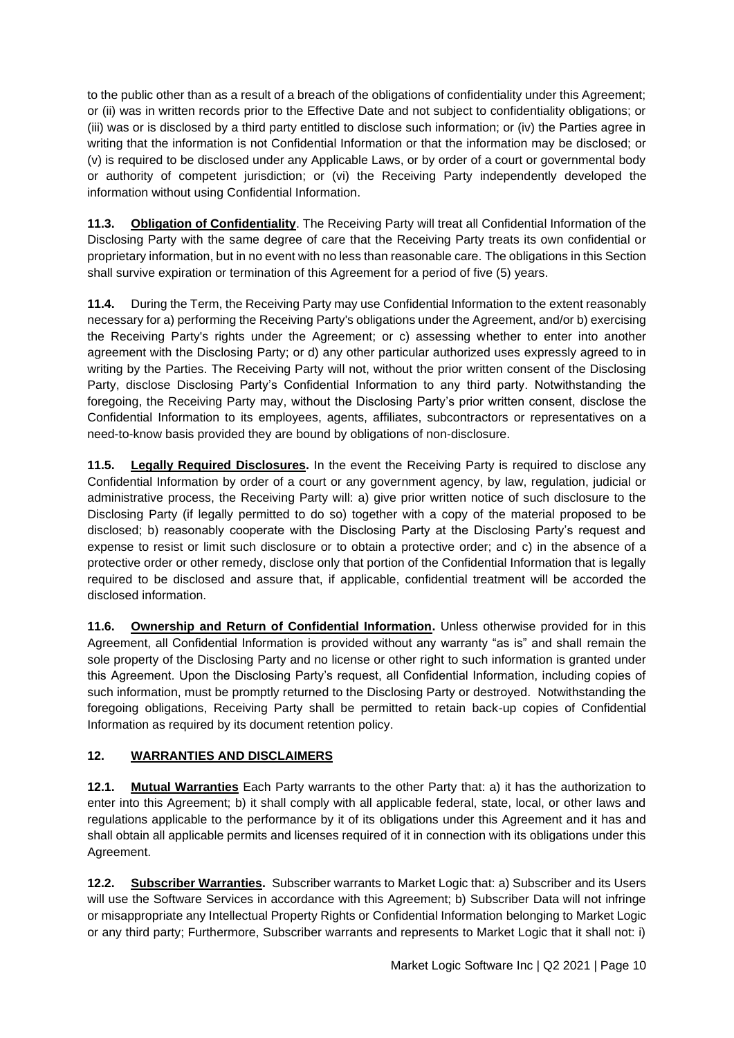to the public other than as a result of a breach of the obligations of confidentiality under this Agreement; or (ii) was in written records prior to the Effective Date and not subject to confidentiality obligations; or (iii) was or is disclosed by a third party entitled to disclose such information; or (iv) the Parties agree in writing that the information is not Confidential Information or that the information may be disclosed; or (v) is required to be disclosed under any Applicable Laws, or by order of a court or governmental body or authority of competent jurisdiction; or (vi) the Receiving Party independently developed the information without using Confidential Information.

**11.3. Obligation of Confidentiality**. The Receiving Party will treat all Confidential Information of the Disclosing Party with the same degree of care that the Receiving Party treats its own confidential or proprietary information, but in no event with no less than reasonable care. The obligations in this Section shall survive expiration or termination of this Agreement for a period of five (5) years.

**11.4.** During the Term, the Receiving Party may use Confidential Information to the extent reasonably necessary for a) performing the Receiving Party's obligations under the Agreement, and/or b) exercising the Receiving Party's rights under the Agreement; or c) assessing whether to enter into another agreement with the Disclosing Party; or d) any other particular authorized uses expressly agreed to in writing by the Parties. The Receiving Party will not, without the prior written consent of the Disclosing Party, disclose Disclosing Party's Confidential Information to any third party. Notwithstanding the foregoing, the Receiving Party may, without the Disclosing Party's prior written consent, disclose the Confidential Information to its employees, agents, affiliates, subcontractors or representatives on a need-to-know basis provided they are bound by obligations of non-disclosure.

**11.5. Legally Required Disclosures.** In the event the Receiving Party is required to disclose any Confidential Information by order of a court or any government agency, by law, regulation, judicial or administrative process, the Receiving Party will: a) give prior written notice of such disclosure to the Disclosing Party (if legally permitted to do so) together with a copy of the material proposed to be disclosed; b) reasonably cooperate with the Disclosing Party at the Disclosing Party's request and expense to resist or limit such disclosure or to obtain a protective order; and c) in the absence of a protective order or other remedy, disclose only that portion of the Confidential Information that is legally required to be disclosed and assure that, if applicable, confidential treatment will be accorded the disclosed information.

**11.6. Ownership and Return of Confidential Information.** Unless otherwise provided for in this Agreement, all Confidential Information is provided without any warranty "as is" and shall remain the sole property of the Disclosing Party and no license or other right to such information is granted under this Agreement. Upon the Disclosing Party's request, all Confidential Information, including copies of such information, must be promptly returned to the Disclosing Party or destroyed. Notwithstanding the foregoing obligations, Receiving Party shall be permitted to retain back-up copies of Confidential Information as required by its document retention policy.

# <span id="page-9-0"></span>**12. WARRANTIES AND DISCLAIMERS**

**12.1. Mutual Warranties** Each Party warrants to the other Party that: a) it has the authorization to enter into this Agreement; b) it shall comply with all applicable federal, state, local, or other laws and regulations applicable to the performance by it of its obligations under this Agreement and it has and shall obtain all applicable permits and licenses required of it in connection with its obligations under this Agreement.

**12.2. Subscriber Warranties.** Subscriber warrants to Market Logic that: a) Subscriber and its Users will use the Software Services in accordance with this Agreement; b) Subscriber Data will not infringe or misappropriate any Intellectual Property Rights or Confidential Information belonging to Market Logic or any third party; Furthermore, Subscriber warrants and represents to Market Logic that it shall not: i)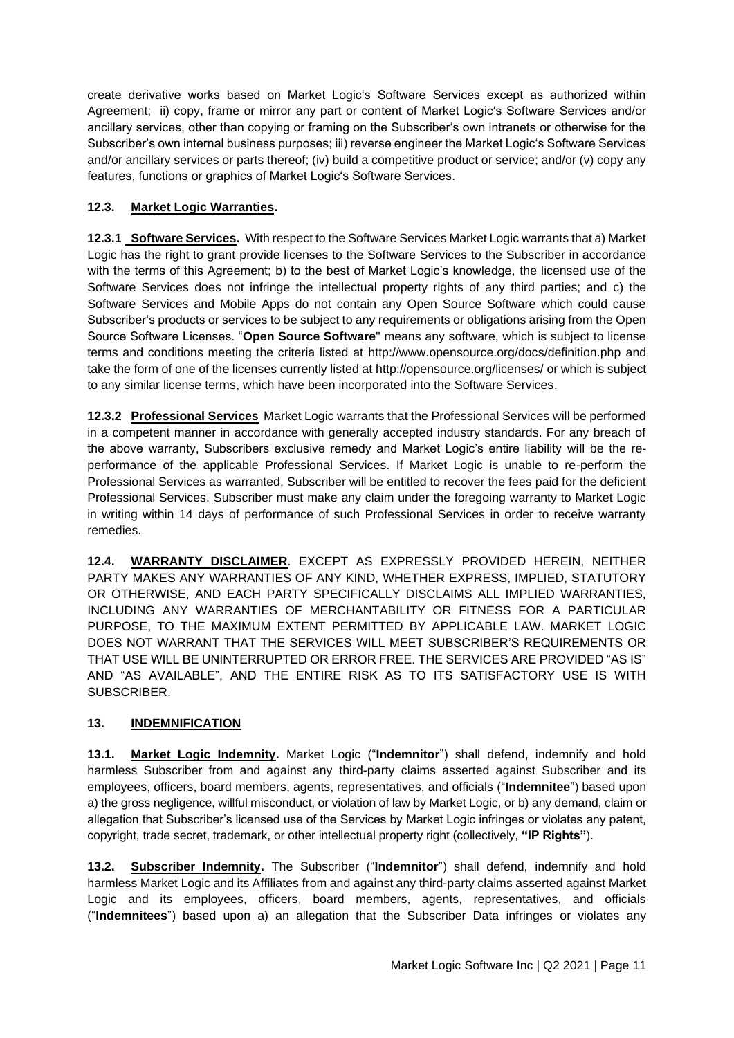create derivative works based on Market Logic's Software Services except as authorized within Agreement; ii) copy, frame or mirror any part or content of Market Logic's Software Services and/or ancillary services, other than copying or framing on the Subscriber's own intranets or otherwise for the Subscriber's own internal business purposes; iii) reverse engineer the Market Logic's Software Services and/or ancillary services or parts thereof; (iv) build a competitive product or service; and/or (v) copy any features, functions or graphics of Market Logic's Software Services.

## **12.3. Market Logic Warranties.**

**12.3.1 Software Services.** With respect to the Software Services Market Logic warrants that a) Market Logic has the right to grant provide licenses to the Software Services to the Subscriber in accordance with the terms of this Agreement; b) to the best of Market Logic's knowledge, the licensed use of the Software Services does not infringe the intellectual property rights of any third parties; and c) the Software Services and Mobile Apps do not contain any Open Source Software which could cause Subscriber's products or services to be subject to any requirements or obligations arising from the Open Source Software Licenses. "**Open Source Software**" means any software, which is subject to license terms and conditions meeting the criteria listed at<http://www.opensource.org/docs/definition.php> and take the form of one of the licenses currently listed at<http://opensource.org/licenses/> or which is subject to any similar license terms, which have been incorporated into the Software Services.

**12.3.2 Professional Services** Market Logic warrants that the Professional Services will be performed in a competent manner in accordance with generally accepted industry standards. For any breach of the above warranty, Subscribers exclusive remedy and Market Logic's entire liability will be the reperformance of the applicable Professional Services. If Market Logic is unable to re-perform the Professional Services as warranted, Subscriber will be entitled to recover the fees paid for the deficient Professional Services. Subscriber must make any claim under the foregoing warranty to Market Logic in writing within 14 days of performance of such Professional Services in order to receive warranty remedies.

**12.4. WARRANTY DISCLAIMER**. EXCEPT AS EXPRESSLY PROVIDED HEREIN, NEITHER PARTY MAKES ANY WARRANTIES OF ANY KIND, WHETHER EXPRESS, IMPLIED, STATUTORY OR OTHERWISE, AND EACH PARTY SPECIFICALLY DISCLAIMS ALL IMPLIED WARRANTIES, INCLUDING ANY WARRANTIES OF MERCHANTABILITY OR FITNESS FOR A PARTICULAR PURPOSE, TO THE MAXIMUM EXTENT PERMITTED BY APPLICABLE LAW. MARKET LOGIC DOES NOT WARRANT THAT THE SERVICES WILL MEET SUBSCRIBER'S REQUIREMENTS OR THAT USE WILL BE UNINTERRUPTED OR ERROR FREE. THE SERVICES ARE PROVIDED "AS IS" AND "AS AVAILABLE", AND THE ENTIRE RISK AS TO ITS SATISFACTORY USE IS WITH SUBSCRIBER.

### <span id="page-10-0"></span>**13. INDEMNIFICATION**

**13.1. Market Logic Indemnity.** Market Logic ("**Indemnitor**") shall defend, indemnify and hold harmless Subscriber from and against any third-party claims asserted against Subscriber and its employees, officers, board members, agents, representatives, and officials ("**Indemnitee**") based upon a) the gross negligence, willful misconduct, or violation of law by Market Logic, or b) any demand, claim or allegation that Subscriber's licensed use of the Services by Market Logic infringes or violates any patent, copyright, trade secret, trademark, or other intellectual property right (collectively, **"IP Rights"**).

**13.2. Subscriber Indemnity.** The Subscriber ("**Indemnitor**") shall defend, indemnify and hold harmless Market Logic and its Affiliates from and against any third-party claims asserted against Market Logic and its employees, officers, board members, agents, representatives, and officials ("**Indemnitees**") based upon a) an allegation that the Subscriber Data infringes or violates any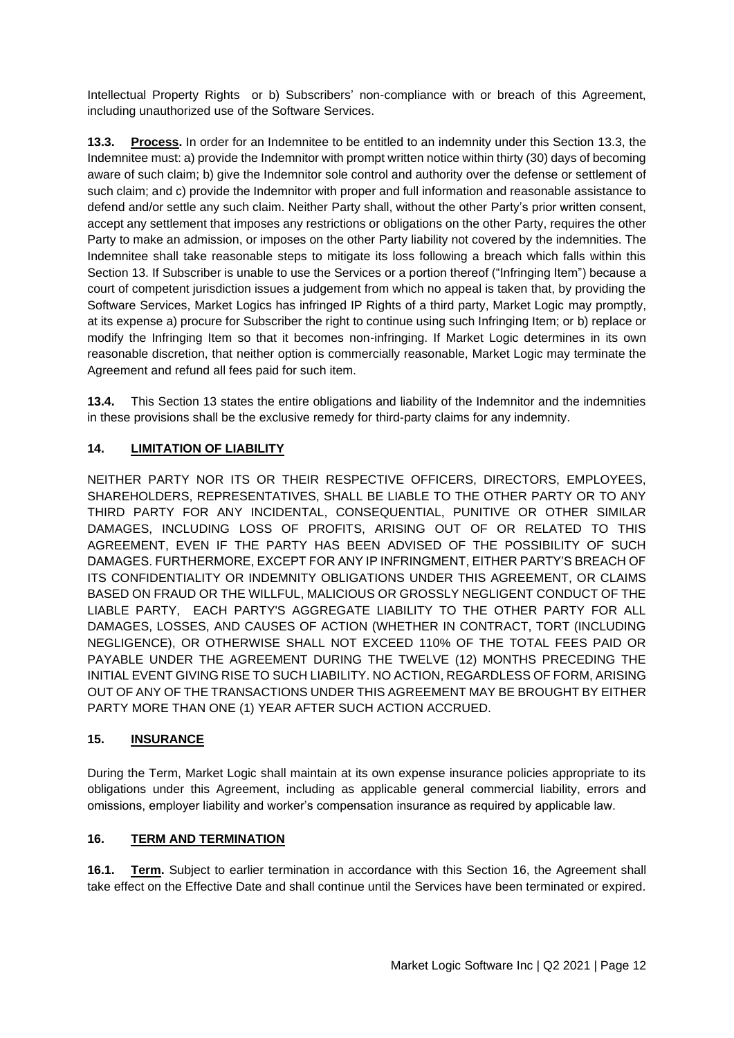Intellectual Property Rights or b) Subscribers' non-compliance with or breach of this Agreement, including unauthorized use of the Software Services.

<span id="page-11-3"></span>**13.3. Process.** In order for an Indemnitee to be entitled to an indemnity under this Section [13.3,](#page-11-3) the Indemnitee must: a) provide the Indemnitor with prompt written notice within thirty (30) days of becoming aware of such claim; b) give the Indemnitor sole control and authority over the defense or settlement of such claim; and c) provide the Indemnitor with proper and full information and reasonable assistance to defend and/or settle any such claim. Neither Party shall, without the other Party's prior written consent, accept any settlement that imposes any restrictions or obligations on the other Party, requires the other Party to make an admission, or imposes on the other Party liability not covered by the indemnities. The Indemnitee shall take reasonable steps to mitigate its loss following a breach which falls within this Section [13.](#page-10-0) If Subscriber is unable to use the Services or a portion thereof ("Infringing Item") because a court of competent jurisdiction issues a judgement from which no appeal is taken that, by providing the Software Services, Market Logics has infringed IP Rights of a third party, Market Logic may promptly, at its expense a) procure for Subscriber the right to continue using such Infringing Item; or b) replace or modify the Infringing Item so that it becomes non-infringing. If Market Logic determines in its own reasonable discretion, that neither option is commercially reasonable, Market Logic may terminate the Agreement and refund all fees paid for such item.

**13.4.** This Section [13](#page-10-0) states the entire obligations and liability of the Indemnitor and the indemnities in these provisions shall be the exclusive remedy for third-party claims for any indemnity.

## <span id="page-11-0"></span>**14. LIMITATION OF LIABILITY**

NEITHER PARTY NOR ITS OR THEIR RESPECTIVE OFFICERS, DIRECTORS, EMPLOYEES, SHAREHOLDERS, REPRESENTATIVES, SHALL BE LIABLE TO THE OTHER PARTY OR TO ANY THIRD PARTY FOR ANY INCIDENTAL, CONSEQUENTIAL, PUNITIVE OR OTHER SIMILAR DAMAGES, INCLUDING LOSS OF PROFITS, ARISING OUT OF OR RELATED TO THIS AGREEMENT, EVEN IF THE PARTY HAS BEEN ADVISED OF THE POSSIBILITY OF SUCH DAMAGES. FURTHERMORE, EXCEPT FOR ANY IP INFRINGMENT, EITHER PARTY'S BREACH OF ITS CONFIDENTIALITY OR INDEMNITY OBLIGATIONS UNDER THIS AGREEMENT, OR CLAIMS BASED ON FRAUD OR THE WILLFUL, MALICIOUS OR GROSSLY NEGLIGENT CONDUCT OF THE LIABLE PARTY, EACH PARTY'S AGGREGATE LIABILITY TO THE OTHER PARTY FOR ALL DAMAGES, LOSSES, AND CAUSES OF ACTION (WHETHER IN CONTRACT, TORT (INCLUDING NEGLIGENCE), OR OTHERWISE SHALL NOT EXCEED 110% OF THE TOTAL FEES PAID OR PAYABLE UNDER THE AGREEMENT DURING THE TWELVE (12) MONTHS PRECEDING THE INITIAL EVENT GIVING RISE TO SUCH LIABILITY. NO ACTION, REGARDLESS OF FORM, ARISING OUT OF ANY OF THE TRANSACTIONS UNDER THIS AGREEMENT MAY BE BROUGHT BY EITHER PARTY MORE THAN ONE (1) YEAR AFTER SUCH ACTION ACCRUED.

### <span id="page-11-1"></span>**15. INSURANCE**

During the Term, Market Logic shall maintain at its own expense insurance policies appropriate to its obligations under this Agreement, including as applicable general commercial liability, errors and omissions, employer liability and worker's compensation insurance as required by applicable law.

### <span id="page-11-2"></span>**16. TERM AND TERMINATION**

**16.1. Term.** Subject to earlier termination in accordance with this Section [16,](#page-11-2) the Agreement shall take effect on the Effective Date and shall continue until the Services have been terminated or expired.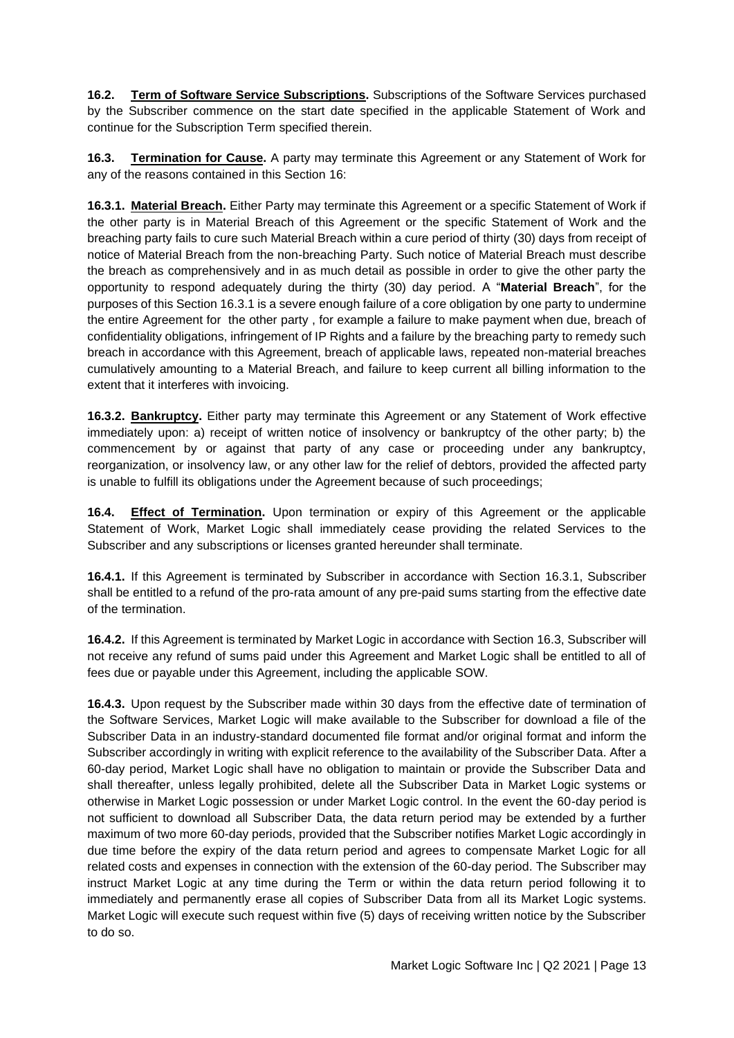**16.2. Term of Software Service Subscriptions.** Subscriptions of the Software Services purchased by the Subscriber commence on the start date specified in the applicable Statement of Work and continue for the Subscription Term specified therein.

<span id="page-12-1"></span>**16.3. Termination for Cause.** A party may terminate this Agreement or any Statement of Work for any of the reasons contained in this Section 16:

<span id="page-12-0"></span>**16.3.1. Material Breach.** Either Party may terminate this Agreement or a specific Statement of Work if the other party is in Material Breach of this Agreement or the specific Statement of Work and the breaching party fails to cure such Material Breach within a cure period of thirty (30) days from receipt of notice of Material Breach from the non-breaching Party. Such notice of Material Breach must describe the breach as comprehensively and in as much detail as possible in order to give the other party the opportunity to respond adequately during the thirty (30) day period. A "**Material Breach**", for the purposes of this Section [16.3.1](#page-12-0) is a severe enough failure of a core obligation by one party to undermine the entire Agreement for the other party , for example a failure to make payment when due, breach of confidentiality obligations, infringement of IP Rights and a failure by the breaching party to remedy such breach in accordance with this Agreement, breach of applicable laws, repeated non-material breaches cumulatively amounting to a Material Breach, and failure to keep current all billing information to the extent that it interferes with invoicing.

**16.3.2. Bankruptcy.** Either party may terminate this Agreement or any Statement of Work effective immediately upon: a) receipt of written notice of insolvency or bankruptcy of the other party; b) the commencement by or against that party of any case or proceeding under any bankruptcy, reorganization, or insolvency law, or any other law for the relief of debtors, provided the affected party is unable to fulfill its obligations under the Agreement because of such proceedings;

**16.4. Effect of Termination.** Upon termination or expiry of this Agreement or the applicable Statement of Work, Market Logic shall immediately cease providing the related Services to the Subscriber and any subscriptions or licenses granted hereunder shall terminate.

**16.4.1.** If this Agreement is terminated by Subscriber in accordance with Section [16.3.](#page-12-1)1, Subscriber shall be entitled to a refund of the pro-rata amount of any pre-paid sums starting from the effective date of the termination.

**16.4.2.** If this Agreement is terminated by Market Logic in accordance with Sectio[n 16.3,](#page-12-1) Subscriber will not receive any refund of sums paid under this Agreement and Market Logic shall be entitled to all of fees due or payable under this Agreement, including the applicable SOW.

**16.4.3.** Upon request by the Subscriber made within 30 days from the effective date of termination of the Software Services, Market Logic will make available to the Subscriber for download a file of the Subscriber Data in an industry-standard documented file format and/or original format and inform the Subscriber accordingly in writing with explicit reference to the availability of the Subscriber Data. After a 60-day period, Market Logic shall have no obligation to maintain or provide the Subscriber Data and shall thereafter, unless legally prohibited, delete all the Subscriber Data in Market Logic systems or otherwise in Market Logic possession or under Market Logic control. In the event the 60-day period is not sufficient to download all Subscriber Data, the data return period may be extended by a further maximum of two more 60-day periods, provided that the Subscriber notifies Market Logic accordingly in due time before the expiry of the data return period and agrees to compensate Market Logic for all related costs and expenses in connection with the extension of the 60-day period. The Subscriber may instruct Market Logic at any time during the Term or within the data return period following it to immediately and permanently erase all copies of Subscriber Data from all its Market Logic systems. Market Logic will execute such request within five (5) days of receiving written notice by the Subscriber to do so.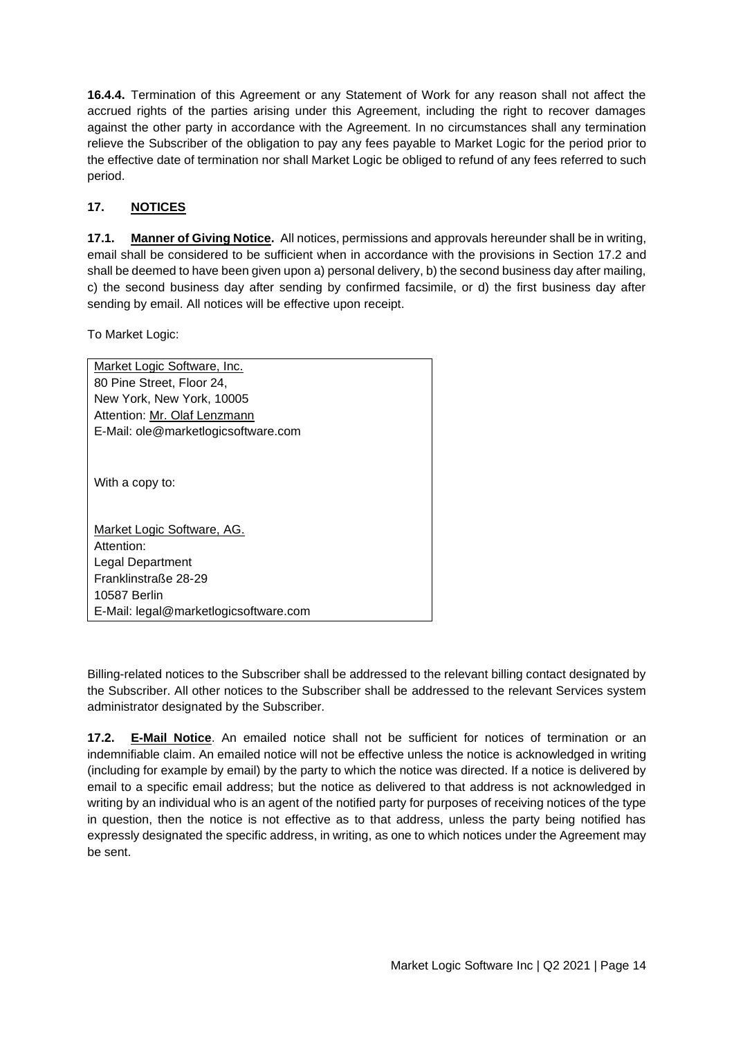**16.4.4.** Termination of this Agreement or any Statement of Work for any reason shall not affect the accrued rights of the parties arising under this Agreement, including the right to recover damages against the other party in accordance with the Agreement. In no circumstances shall any termination relieve the Subscriber of the obligation to pay any fees payable to Market Logic for the period prior to the effective date of termination nor shall Market Logic be obliged to refund of any fees referred to such period.

## <span id="page-13-0"></span>**17. NOTICES**

**17.1. Manner of Giving Notice.** All notices, permissions and approvals hereunder shall be in writing, email shall be considered to be sufficient when in accordance with the provisions in Section 17.2 and shall be deemed to have been given upon a) personal delivery, b) the second business day after mailing, c) the second business day after sending by confirmed facsimile, or d) the first business day after sending by email. All notices will be effective upon receipt.

To Market Logic:

| Market Logic Software, Inc.           |
|---------------------------------------|
| 80 Pine Street, Floor 24,             |
| New York, New York, 10005             |
| Attention: Mr. Olaf Lenzmann          |
| E-Mail: ole@marketlogicsoftware.com   |
| With a copy to:                       |
| Market Logic Software, AG.            |
| Attention:                            |
| Legal Department                      |
| Franklinstraße 28-29                  |
| 10587 Berlin                          |
| E-Mail: legal@marketlogicsoftware.com |

Billing-related notices to the Subscriber shall be addressed to the relevant billing contact designated by the Subscriber. All other notices to the Subscriber shall be addressed to the relevant Services system administrator designated by the Subscriber.

**17.2. E-Mail Notice**. An emailed notice shall not be sufficient for notices of termination or an indemnifiable claim. An emailed notice will not be effective unless the notice is acknowledged in writing (including for example by email) by the party to which the notice was directed. If a notice is delivered by email to a specific email address; but the notice as delivered to that address is not acknowledged in writing by an individual who is an agent of the notified party for purposes of receiving notices of the type in question, then the notice is not effective as to that address, unless the party being notified has expressly designated the specific address, in writing, as one to which notices under the Agreement may be sent.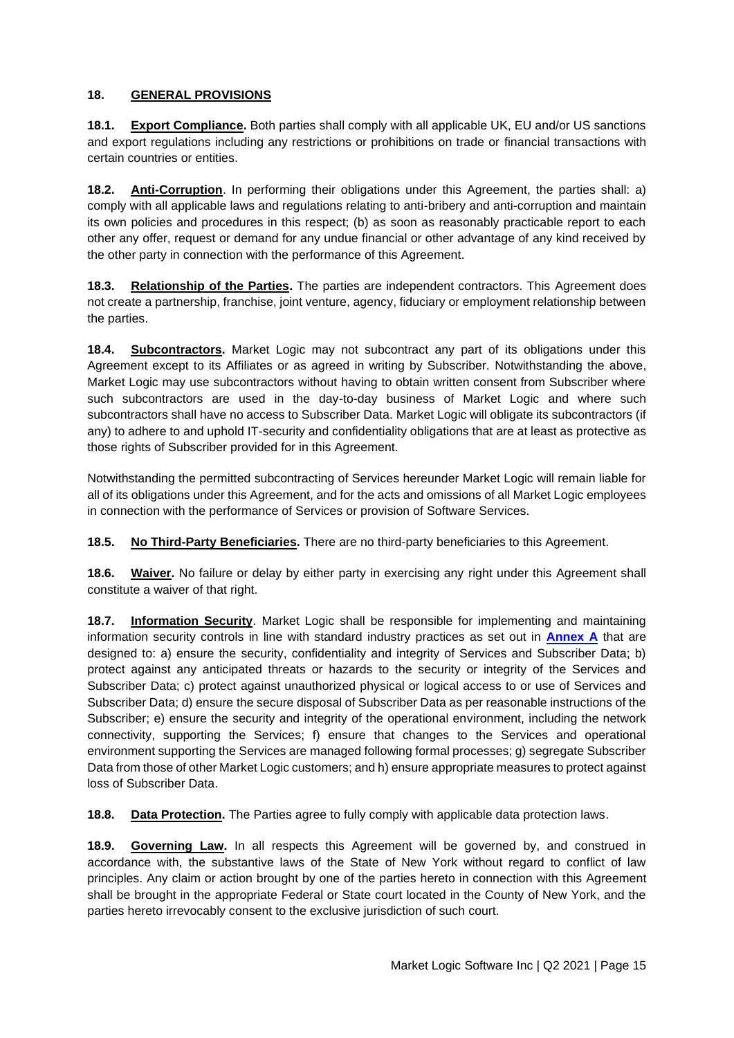## <span id="page-14-0"></span>**18. GENERAL PROVISIONS**

**18.1. Export Compliance.** Both parties shall comply with all applicable UK, EU and/or US sanctions and export regulations including any restrictions or prohibitions on trade or financial transactions with certain countries or entities.

**18.2. Anti-Corruption**. In performing their obligations under this Agreement, the parties shall: a) comply with all applicable laws and regulations relating to anti-bribery and anti-corruption and maintain its own policies and procedures in this respect; (b) as soon as reasonably practicable report to each other any offer, request or demand for any undue financial or other advantage of any kind received by the other party in connection with the performance of this Agreement.

**18.3. Relationship of the Parties.** The parties are independent contractors. This Agreement does not create a partnership, franchise, joint venture, agency, fiduciary or employment relationship between the parties.

**18.4. Subcontractors.** Market Logic may not subcontract any part of its obligations under this Agreement except to its Affiliates or as agreed in writing by Subscriber. Notwithstanding the above, Market Logic may use subcontractors without having to obtain written consent from Subscriber where such subcontractors are used in the day-to-day business of Market Logic and where such subcontractors shall have no access to Subscriber Data. Market Logic will obligate its subcontractors (if any) to adhere to and uphold IT-security and confidentiality obligations that are at least as protective as those rights of Subscriber provided for in this Agreement.

Notwithstanding the permitted subcontracting of Services hereunder Market Logic will remain liable for all of its obligations under this Agreement, and for the acts and omissions of all Market Logic employees in connection with the performance of Services or provision of Software Services.

**18.5. No Third-Party Beneficiaries.** There are no third-party beneficiaries to this Agreement.

**18.6. Waiver.** No failure or delay by either party in exercising any right under this Agreement shall constitute a waiver of that right.

**18.7. Information Security**. Market Logic shall be responsible for implementing and maintaining information security controls in line with standard industry practices as set out in **Annex A** that are designed to: a) ensure the security, confidentiality and integrity of Services and Subscriber Data; b) protect against any anticipated threats or hazards to the security or integrity of the Services and Subscriber Data; c) protect against unauthorized physical or logical access to or use of Services and Subscriber Data; d) ensure the secure disposal of Subscriber Data as per reasonable instructions of the Subscriber; e) ensure the security and integrity of the operational environment, including the network connectivity, supporting the Services; f) ensure that changes to the Services and operational environment supporting the Services are managed following formal processes; g) segregate Subscriber Data from those of other Market Logic customers; and h) ensure appropriate measures to protect against loss of Subscriber Data.

**18.8. Data Protection.** The Parties agree to fully comply with applicable data protection laws.

**18.9. Governing Law.** In all respects this Agreement will be governed by, and construed in accordance with, the substantive laws of the State of New York without regard to conflict of law principles. Any claim or action brought by one of the parties hereto in connection with this Agreement shall be brought in the appropriate Federal or State court located in the County of New York, and the parties hereto irrevocably consent to the exclusive jurisdiction of such court.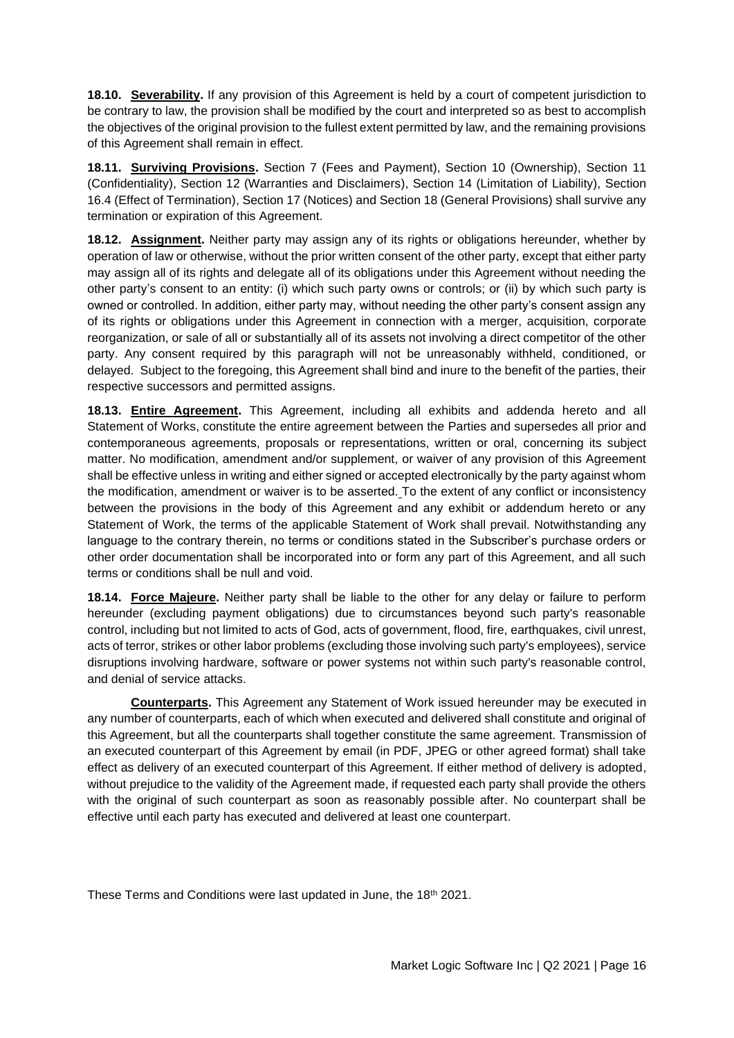**18.10. Severability.** If any provision of this Agreement is held by a court of competent jurisdiction to be contrary to law, the provision shall be modified by the court and interpreted so as best to accomplish the objectives of the original provision to the fullest extent permitted by law, and the remaining provisions of this Agreement shall remain in effect.

**18.11. Surviving Provisions.** Section 7 (Fees and Payment), Section 10 (Ownership), Section 11 (Confidentiality), Section 12 (Warranties and Disclaimers), Section 14 (Limitation of Liability), Section 16.4 (Effect of Termination), Section 17 (Notices) and Section 18 (General Provisions) shall survive any termination or expiration of this Agreement.

**18.12. Assignment.** Neither party may assign any of its rights or obligations hereunder, whether by operation of law or otherwise, without the prior written consent of the other party, except that either party may assign all of its rights and delegate all of its obligations under this Agreement without needing the other party's consent to an entity: (i) which such party owns or controls; or (ii) by which such party is owned or controlled. In addition, either party may, without needing the other party's consent assign any of its rights or obligations under this Agreement in connection with a merger, acquisition, corporate reorganization, or sale of all or substantially all of its assets not involving a direct competitor of the other party. Any consent required by this paragraph will not be unreasonably withheld, conditioned, or delayed. Subject to the foregoing, this Agreement shall bind and inure to the benefit of the parties, their respective successors and permitted assigns.

**18.13. Entire Agreement.** This Agreement, including all exhibits and addenda hereto and all Statement of Works, constitute the entire agreement between the Parties and supersedes all prior and contemporaneous agreements, proposals or representations, written or oral, concerning its subject matter. No modification, amendment and/or supplement, or waiver of any provision of this Agreement shall be effective unless in writing and either signed or accepted electronically by the party against whom the modification, amendment or waiver is to be asserted. To the extent of any conflict or inconsistency between the provisions in the body of this Agreement and any exhibit or addendum hereto or any Statement of Work, the terms of the applicable Statement of Work shall prevail. Notwithstanding any language to the contrary therein, no terms or conditions stated in the Subscriber's purchase orders or other order documentation shall be incorporated into or form any part of this Agreement, and all such terms or conditions shall be null and void.

**18.14. Force Majeure.** Neither party shall be liable to the other for any delay or failure to perform hereunder (excluding payment obligations) due to circumstances beyond such party's reasonable control, including but not limited to acts of God, acts of government, flood, fire, earthquakes, civil unrest, acts of terror, strikes or other labor problems (excluding those involving such party's employees), service disruptions involving hardware, software or power systems not within such party's reasonable control, and denial of service attacks.

**Counterparts.** This Agreement any Statement of Work issued hereunder may be executed in any number of counterparts, each of which when executed and delivered shall constitute and original of this Agreement, but all the counterparts shall together constitute the same agreement. Transmission of an executed counterpart of this Agreement by email (in PDF, JPEG or other agreed format) shall take effect as delivery of an executed counterpart of this Agreement. If either method of delivery is adopted, without prejudice to the validity of the Agreement made, if requested each party shall provide the others with the original of such counterpart as soon as reasonably possible after. No counterpart shall be effective until each party has executed and delivered at least one counterpart.

These Terms and Conditions were last updated in June, the 18th 2021.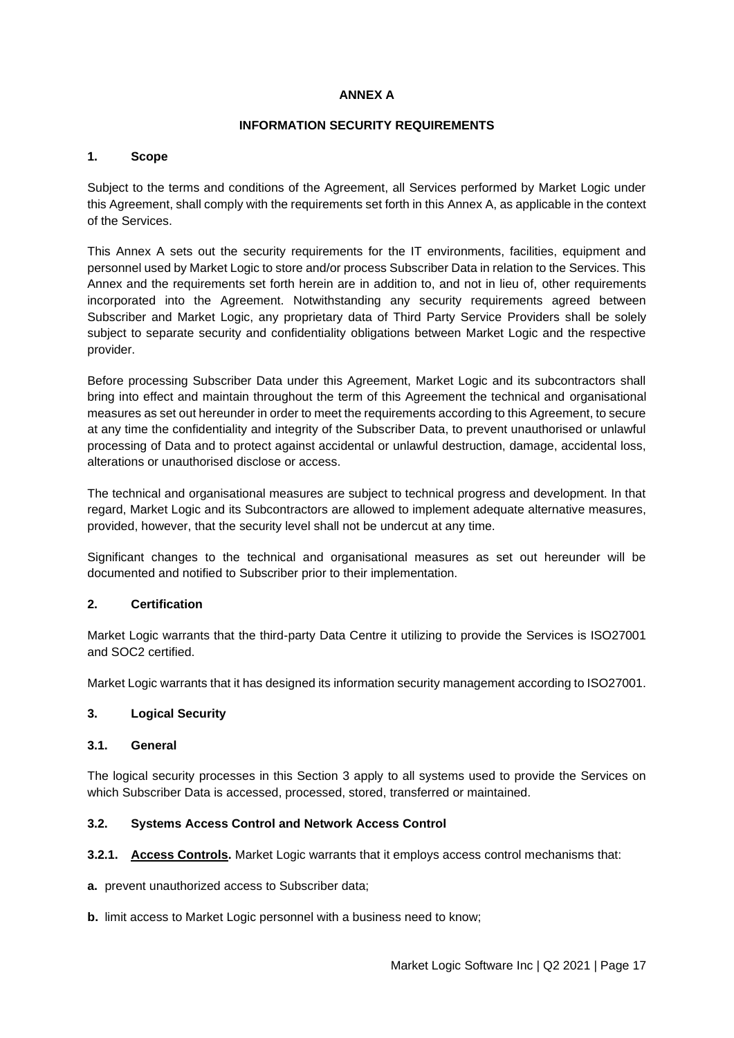#### **ANNEX A**

#### **INFORMATION SECURITY REQUIREMENTS**

#### <span id="page-16-0"></span>**1. Scope**

Subject to the terms and conditions of the Agreement, all Services performed by Market Logic under this Agreement, shall comply with the requirements set forth in this Annex A, as applicable in the context of the Services.

This Annex A sets out the security requirements for the IT environments, facilities, equipment and personnel used by Market Logic to store and/or process Subscriber Data in relation to the Services. This Annex and the requirements set forth herein are in addition to, and not in lieu of, other requirements incorporated into the Agreement. Notwithstanding any security requirements agreed between Subscriber and Market Logic, any proprietary data of Third Party Service Providers shall be solely subject to separate security and confidentiality obligations between Market Logic and the respective provider.

Before processing Subscriber Data under this Agreement, Market Logic and its subcontractors shall bring into effect and maintain throughout the term of this Agreement the technical and organisational measures as set out hereunder in order to meet the requirements according to this Agreement, to secure at any time the confidentiality and integrity of the Subscriber Data, to prevent unauthorised or unlawful processing of Data and to protect against accidental or unlawful destruction, damage, accidental loss, alterations or unauthorised disclose or access.

The technical and organisational measures are subject to technical progress and development. In that regard, Market Logic and its Subcontractors are allowed to implement adequate alternative measures, provided, however, that the security level shall not be undercut at any time.

Significant changes to the technical and organisational measures as set out hereunder will be documented and notified to Subscriber prior to their implementation.

### **2. Certification**

Market Logic warrants that the third-party Data Centre it utilizing to provide the Services is ISO27001 and SOC2 certified.

Market Logic warrants that it has designed its information security management according to ISO27001.

#### **3. Logical Security**

#### **3.1. General**

The logical security processes in this Section 3 apply to all systems used to provide the Services on which Subscriber Data is accessed, processed, stored, transferred or maintained.

### **3.2. Systems Access Control and Network Access Control**

**3.2.1. Access Controls.** Market Logic warrants that it employs access control mechanisms that:

**a.** prevent unauthorized access to Subscriber data;

**b.** limit access to Market Logic personnel with a business need to know;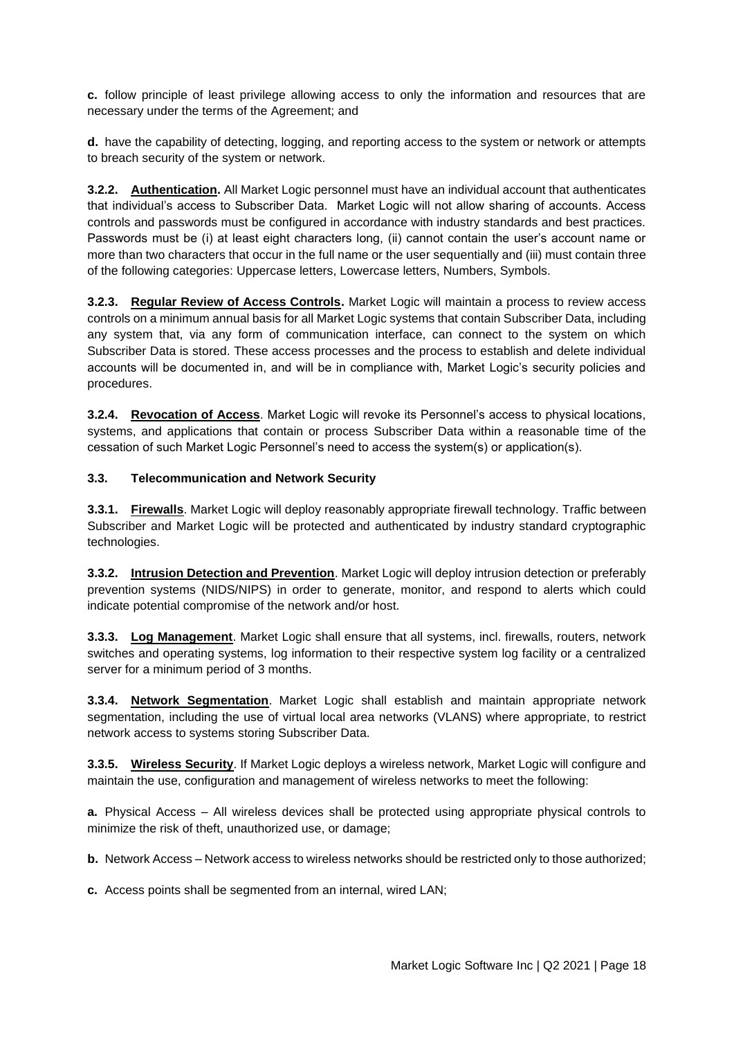**c.** follow principle of least privilege allowing access to only the information and resources that are necessary under the terms of the Agreement; and

**d.** have the capability of detecting, logging, and reporting access to the system or network or attempts to breach security of the system or network.

**3.2.2. Authentication.** All Market Logic personnel must have an individual account that authenticates that individual's access to Subscriber Data. Market Logic will not allow sharing of accounts. Access controls and passwords must be configured in accordance with industry standards and best practices. Passwords must be (i) at least eight characters long, (ii) cannot contain the user's account name or more than two characters that occur in the full name or the user sequentially and (iii) must contain three of the following categories: Uppercase letters, Lowercase letters, Numbers, Symbols.

**3.2.3. Regular Review of Access Controls.** Market Logic will maintain a process to review access controls on a minimum annual basis for all Market Logic systems that contain Subscriber Data, including any system that, via any form of communication interface, can connect to the system on which Subscriber Data is stored. These access processes and the process to establish and delete individual accounts will be documented in, and will be in compliance with, Market Logic's security policies and procedures.

**3.2.4. Revocation of Access**. Market Logic will revoke its Personnel's access to physical locations, systems, and applications that contain or process Subscriber Data within a reasonable time of the cessation of such Market Logic Personnel's need to access the system(s) or application(s).

#### **3.3. Telecommunication and Network Security**

**3.3.1. Firewalls**. Market Logic will deploy reasonably appropriate firewall technology. Traffic between Subscriber and Market Logic will be protected and authenticated by industry standard cryptographic technologies.

**3.3.2. Intrusion Detection and Prevention**. Market Logic will deploy intrusion detection or preferably prevention systems (NIDS/NIPS) in order to generate, monitor, and respond to alerts which could indicate potential compromise of the network and/or host.

**3.3.3. Log Management**. Market Logic shall ensure that all systems, incl. firewalls, routers, network switches and operating systems, log information to their respective system log facility or a centralized server for a minimum period of 3 months.

**3.3.4. Network Segmentation**. Market Logic shall establish and maintain appropriate network segmentation, including the use of virtual local area networks (VLANS) where appropriate, to restrict network access to systems storing Subscriber Data.

**3.3.5. Wireless Security**. If Market Logic deploys a wireless network, Market Logic will configure and maintain the use, configuration and management of wireless networks to meet the following:

**a.** Physical Access – All wireless devices shall be protected using appropriate physical controls to minimize the risk of theft, unauthorized use, or damage;

**b.** Network Access – Network access to wireless networks should be restricted only to those authorized;

**c.** Access points shall be segmented from an internal, wired LAN;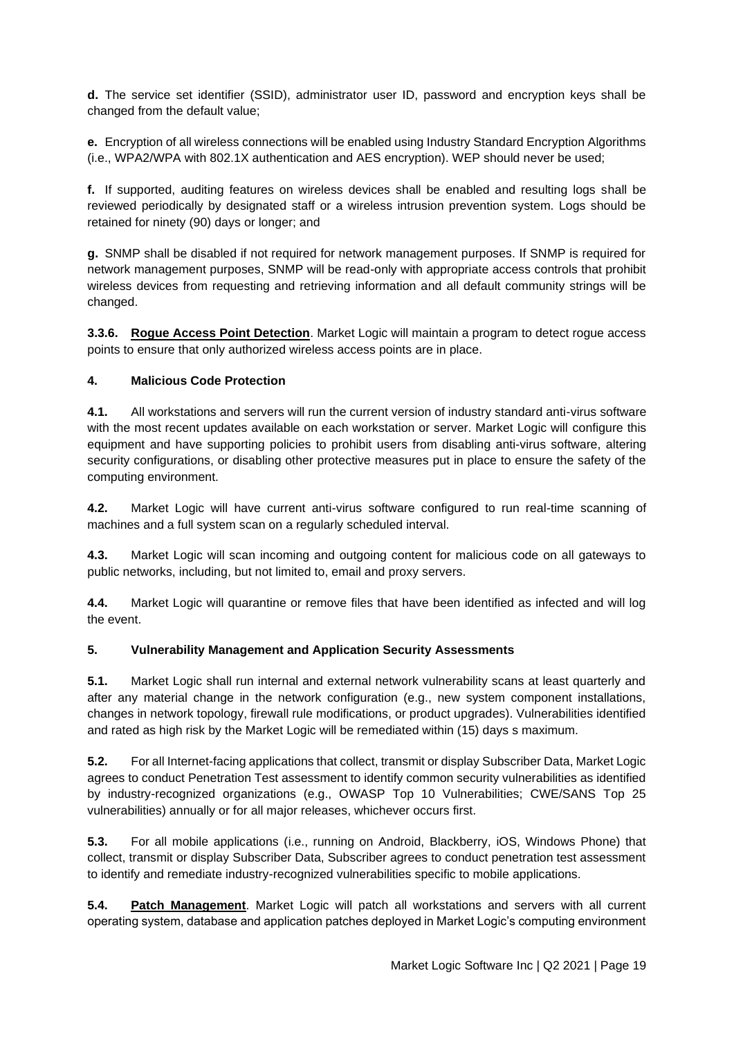**d.** The service set identifier (SSID), administrator user ID, password and encryption keys shall be changed from the default value;

**e.** Encryption of all wireless connections will be enabled using Industry Standard Encryption Algorithms (i.e., WPA2/WPA with 802.1X authentication and AES encryption). WEP should never be used;

**f.** If supported, auditing features on wireless devices shall be enabled and resulting logs shall be reviewed periodically by designated staff or a wireless intrusion prevention system. Logs should be retained for ninety (90) days or longer; and

**g.** SNMP shall be disabled if not required for network management purposes. If SNMP is required for network management purposes, SNMP will be read-only with appropriate access controls that prohibit wireless devices from requesting and retrieving information and all default community strings will be changed.

**3.3.6. Rogue Access Point Detection**. Market Logic will maintain a program to detect rogue access points to ensure that only authorized wireless access points are in place.

#### **4. Malicious Code Protection**

**4.1.** All workstations and servers will run the current version of industry standard anti-virus software with the most recent updates available on each workstation or server. Market Logic will configure this equipment and have supporting policies to prohibit users from disabling anti-virus software, altering security configurations, or disabling other protective measures put in place to ensure the safety of the computing environment.

**4.2.** Market Logic will have current anti-virus software configured to run real-time scanning of machines and a full system scan on a regularly scheduled interval.

**4.3.** Market Logic will scan incoming and outgoing content for malicious code on all gateways to public networks, including, but not limited to, email and proxy servers.

**4.4.** Market Logic will quarantine or remove files that have been identified as infected and will log the event.

#### **5. Vulnerability Management and Application Security Assessments**

**5.1.** Market Logic shall run internal and external network vulnerability scans at least quarterly and after any material change in the network configuration (e.g., new system component installations, changes in network topology, firewall rule modifications, or product upgrades). Vulnerabilities identified and rated as high risk by the Market Logic will be remediated within (15) days s maximum.

**5.2.** For all Internet-facing applications that collect, transmit or display Subscriber Data, Market Logic agrees to conduct Penetration Test assessment to identify common security vulnerabilities as identified by industry-recognized organizations (e.g., OWASP Top 10 Vulnerabilities; CWE/SANS Top 25 vulnerabilities) annually or for all major releases, whichever occurs first.

**5.3.** For all mobile applications (i.e., running on Android, Blackberry, iOS, Windows Phone) that collect, transmit or display Subscriber Data, Subscriber agrees to conduct penetration test assessment to identify and remediate industry-recognized vulnerabilities specific to mobile applications.

**5.4. Patch Management**. Market Logic will patch all workstations and servers with all current operating system, database and application patches deployed in Market Logic's computing environment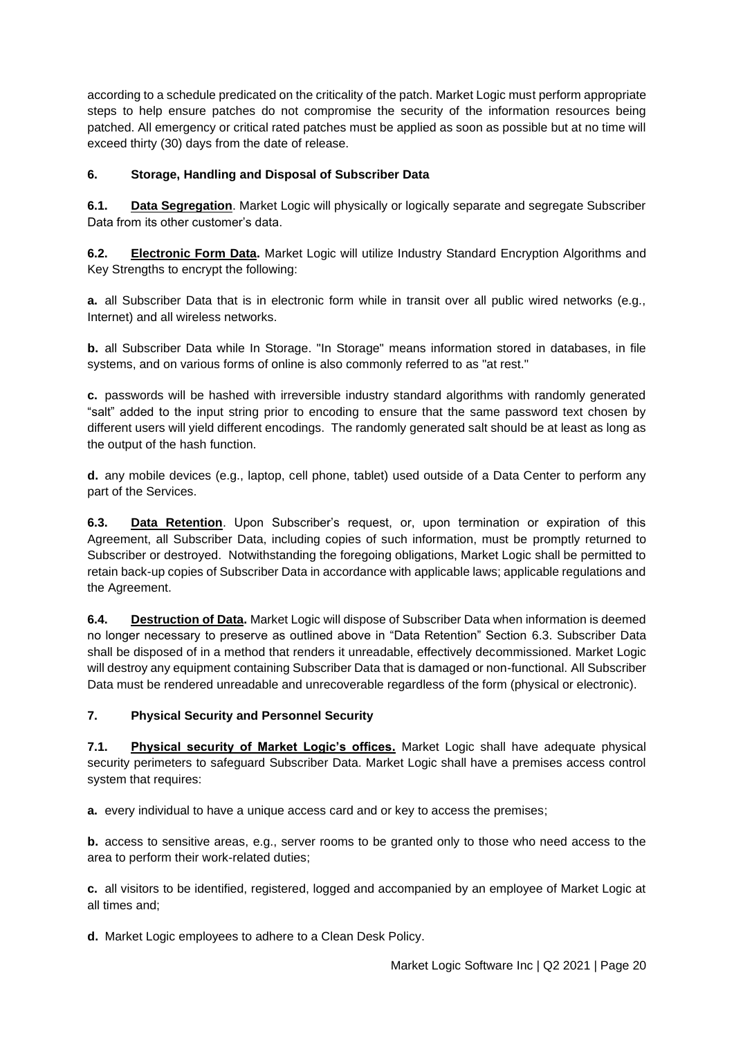according to a schedule predicated on the criticality of the patch. Market Logic must perform appropriate steps to help ensure patches do not compromise the security of the information resources being patched. All emergency or critical rated patches must be applied as soon as possible but at no time will exceed thirty (30) days from the date of release.

## **6. Storage, Handling and Disposal of Subscriber Data**

**6.1. Data Segregation**. Market Logic will physically or logically separate and segregate Subscriber Data from its other customer's data.

**6.2. Electronic Form Data.** Market Logic will utilize Industry Standard Encryption Algorithms and Key Strengths to encrypt the following:

**a.** all Subscriber Data that is in electronic form while in transit over all public wired networks (e.g., Internet) and all wireless networks.

**b.** all Subscriber Data while In Storage. "In Storage" means information stored in databases, in file systems, and on various forms of online is also commonly referred to as "at rest."

**c.** passwords will be hashed with irreversible industry standard algorithms with randomly generated "salt" added to the input string prior to encoding to ensure that the same password text chosen by different users will yield different encodings. The randomly generated salt should be at least as long as the output of the hash function.

**d.** any mobile devices (e.g., laptop, cell phone, tablet) used outside of a Data Center to perform any part of the Services.

**6.3. Data Retention**. Upon Subscriber's request, or, upon termination or expiration of this Agreement, all Subscriber Data, including copies of such information, must be promptly returned to Subscriber or destroyed. Notwithstanding the foregoing obligations, Market Logic shall be permitted to retain back-up copies of Subscriber Data in accordance with applicable laws; applicable regulations and the Agreement.

**6.4. Destruction of Data.** Market Logic will dispose of Subscriber Data when information is deemed no longer necessary to preserve as outlined above in "Data Retention" Section 6.3. Subscriber Data shall be disposed of in a method that renders it unreadable, effectively decommissioned. Market Logic will destroy any equipment containing Subscriber Data that is damaged or non-functional. All Subscriber Data must be rendered unreadable and unrecoverable regardless of the form (physical or electronic).

### **7. Physical Security and Personnel Security**

**7.1. Physical security of Market Logic's offices.** Market Logic shall have adequate physical security perimeters to safeguard Subscriber Data. Market Logic shall have a premises access control system that requires:

**a.** every individual to have a unique access card and or key to access the premises;

**b.** access to sensitive areas, e.g., server rooms to be granted only to those who need access to the area to perform their work-related duties;

**c.** all visitors to be identified, registered, logged and accompanied by an employee of Market Logic at all times and;

**d.** Market Logic employees to adhere to a Clean Desk Policy.